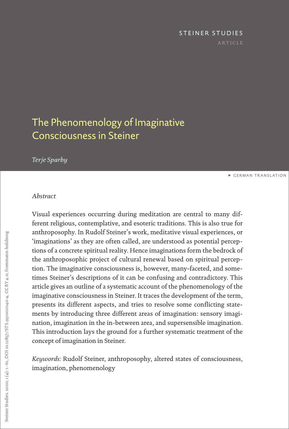# STEINER STUDIES

# <span id="page-0-0"></span>The Phenomenology of Imaginative Consciousness in Steiner

# *Terje Sparby*

**EGERMAN TRANSLATION** 

# *Abstract*

Visual experiences occurring during meditation are central to many different religious, contemplative, and esoteric traditions. This is also true for anthroposophy. In Rudolf Steiner's work, meditative visual experiences, or 'imaginations' as they are often called, are understood as potential perceptions of a concrete spiritual reality. Hence imaginations form the bedrock of the anthroposophic project of cultural renewal based on spiritual perception. The imaginative consciousness is, however, many-faceted, and sometimes Steiner's descriptions of it can be confusing and contradictory. This article gives an outline of a systematic account of the phenomenology of the imaginative consciousness in Steiner. It traces the development of the term, presents its different aspects, and tries to resolve some conflicting statements by introducing three different areas of imagination: sensory imagination, imagination in the in-between area, and supersensible imagination. This introduction lays the ground for a further systematic treatment of the concept of imagination in Steiner.

*Keywords:* Rudolf Steiner, anthroposophy, altered states of consciousness, imagination, phenomenology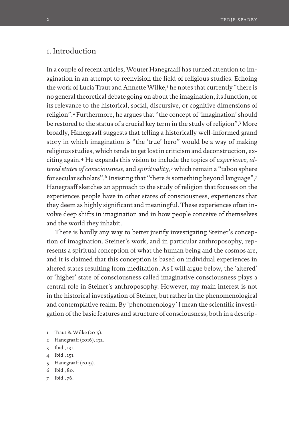# 1. Introduction

In a couple of recent articles, Wouter Hanegraaff has turned attention to imagination in an attempt to reenvision the field of religious studies. Echoing the work of Lucia Traut and Annette Wilke,<sup>1</sup> he notes that currently "there is no general theoretical debate going on about the imagination, its function, or its relevance to the historical, social, discursive, or cognitive dimensions of religion".<sup>2</sup> Furthermore, he argues that "the concept of 'imagination' should be restored to the status of a crucial key term in the study of religion".3 More broadly, Hanegraaff suggests that telling a historically well-informed grand story in which imagination is "the 'true' hero" would be a way of making religious studies, which tends to get lost in criticism and deconstruction, exciting again.4 He expands this vision to include the topics of *experience*, *altered states of consciousness*, and *spirituality*, 5 which remain a "taboo sphere for secular scholars".6 Insisting that "there *is* something beyond language",7 Hanegraaff sketches an approach to the study of religion that focuses on the experiences people have in other states of consciousness, experiences that they deem as highly significant and meaningful. These experiences often involve deep shifts in imagination and in how people conceive of themselves and the world they inhabit.

There is hardly any way to better justify investigating Steiner's conception of imagination. Steiner's work, and in particular anthroposophy, represents a spiritual conception of what the human being and the cosmos are, and it is claimed that this conception is based on individual experiences in altered states resulting from meditation. As I will argue below, the 'altered' or 'higher' state of consciousness called imaginative consciousness plays a central role in Steiner's anthroposophy. However, my main interest is not in the historical investigation of Steiner, but rather in the phenomenological and contemplative realm. By 'phenomenology' I mean the scientific investigation of the basic features and structure of consciousness, both in a descrip-

- 1 Traut & Wilke (2015).
- 2 Hanegraaff (2016), 132.
- 3 Ibid., 131.
- 4 Ibid., 151.
- 5 Hanegraaff (2019).
- 6 Ibid., 80.
- 7 Ibid., 76.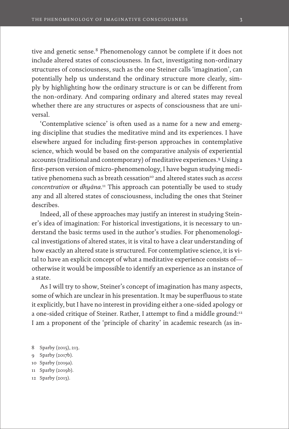tive and genetic sense.<sup>8</sup> Phenomenology cannot be complete if it does not include altered states of consciousness. In fact, investigating non-ordinary structures of consciousness, such as the one Steiner calls 'imagination', can potentially help us understand the ordinary structure more clearly, simply by highlighting how the ordinary structure is or can be different from the non-ordinary. And comparing ordinary and altered states may reveal whether there are any structures or aspects of consciousness that are universal.

'Contemplative science' is often used as a name for a new and emerging discipline that studies the meditative mind and its experiences. I have elsewhere argued for including first-person approaches in contemplative science, which would be based on the comparative analysis of experiential accounts (traditional and contemporary) of meditative experiences.9 Using a first-person version of micro-phenomenology, I have begun studying meditative phenomena such as breath cessation<sup>10</sup> and altered states such as *access concentration* or *dhyāna*. 11 This approach can potentially be used to study any and all altered states of consciousness, including the ones that Steiner describes.

Indeed, all of these approaches may justify an interest in studying Steiner's idea of imagination: For historical investigations, it is necessary to understand the basic terms used in the author's studies. For phenomenological investigations of altered states, it is vital to have a clear understanding of how exactly an altered state is structured. For contemplative science, it is vital to have an explicit concept of what a meditative experience consists of otherwise it would be impossible to identify an experience as an instance of a state.

As I will try to show, Steiner's concept of imagination has many aspects, some of which are unclear in his presentation. It may be superfluous to state it explicitly, but I have no interest in providing either a one-sided apology or a one-sided critique of Steiner. Rather, I attempt to find a middle ground:<sup>12</sup> I am a proponent of the 'principle of charity' in academic research (as in-

- 8 Sparby (2015), 213.
- 9 Sparby (2017b).
- 10 Sparby (2019a).
- 11 Sparby (2019b).
- 12 Sparby (2013).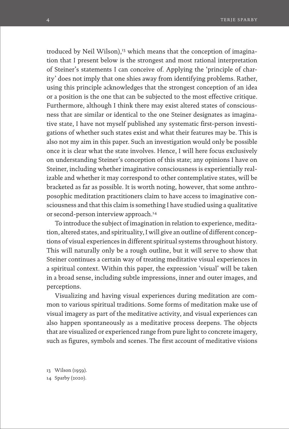troduced by Neil Wilson),<sup>13</sup> which means that the conception of imagination that I present below is the strongest and most rational interpretation of Steiner's statements I can conceive of. Applying the 'principle of charity' does not imply that one shies away from identifying problems. Rather, using this principle acknowledges that the strongest conception of an idea or a position is the one that can be subjected to the most effective critique. Furthermore, although I think there may exist altered states of consciousness that are similar or identical to the one Steiner designates as imaginative state, I have not myself published any systematic first-person investigations of whether such states exist and what their features may be. This is also not my aim in this paper. Such an investigation would only be possible once it is clear what the state involves. Hence, I will here focus exclusively on understanding Steiner's conception of this state; any opinions I have on Steiner, including whether imaginative consciousness is experientially realizable and whether it may correspond to other contemplative states, will be bracketed as far as possible. It is worth noting, however, that some anthroposophic meditation practitioners claim to have access to imaginative consciousness and that this claim is something I have studied using a qualitative or second-person interview approach.<sup>14</sup>

To introduce the subject of imagination in relation to experience, meditation, altered states, and spirituality, I will give an outline of different conceptions of visual experiences in different spiritual systems throughout history. This will naturally only be a rough outline, but it will serve to show that Steiner continues a certain way of treating meditative visual experiences in a spiritual context. Within this paper, the expression 'visual' will be taken in a broad sense, including subtle impressions, inner and outer images, and perceptions.

Visualizing and having visual experiences during meditation are common to various spiritual traditions. Some forms of meditation make use of visual imagery as part of the meditative activity, and visual experiences can also happen spontaneously as a meditative process deepens. The objects that are visualized or experienced range from pure light to concrete imagery, such as figures, symbols and scenes. The first account of meditative visions

13 Wilson (1959). 14 Sparby (2020).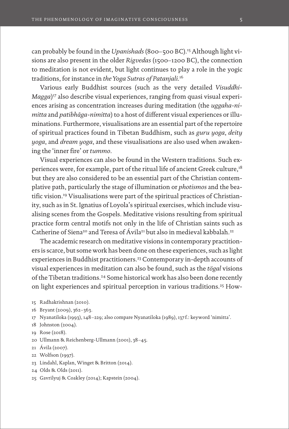can probably be found in the *Upanishads* (800–500 BC).15 Although light visions are also present in the older *Rigvedas* (1500–1200 BC), the connection to meditation is not evident, but light continues to play a role in the yogic traditions, for instance in *the Yoga Sutras of Patanjali*. 16

Various early Buddhist sources (such as the very detailed *Visuddhi-Magga*)<sup>17</sup> also describe visual experiences, ranging from quasi visual experiences arising as concentration increases during meditation (the *uggaha-nimitta* and *patibhāga-nimitta*) to a host of different visual experiences or illuminations. Furthermore, visualisations are an essential part of the repertoire of spiritual practices found in Tibetan Buddhism, such as *guru yoga*, *deity yoga*, and *dream yoga*, and these visualisations are also used when awakening the 'inner fire' or *tummo*.

Visual experiences can also be found in the Western traditions. Such experiences were, for example, part of the ritual life of ancient Greek culture,<sup>18</sup> but they are also considered to be an essential part of the Christian contemplative path, particularly the stage of illumination or *photismos* and the beatific vision.19 Visualisations were part of the spiritual practices of Christianity, such as in St. Ignatius of Loyola's spiritual exercises, which include visualising scenes from the Gospels. Meditative visions resulting from spiritual practice form central motifs not only in the life of Christian saints such as Catherine of Siena<sup>20</sup> and Teresa of Ávila<sup>21</sup> but also in medieval kabbalah.<sup>22</sup>

The academic research on meditative visions in contemporary practitioners is scarce, but some work has been done on these experiences, such as light experiences in Buddhist practitioners.<sup>23</sup> Contemporary in-depth accounts of visual experiences in meditation can also be found, such as the *tögal* visions of the Tibetan traditions.<sup>24</sup> Some historical work has also been done recently on light experiences and spiritual perception in various traditions.25 How-

- 15 Radhakrishnan (2010).
- 16 Bryant (2009), 362–363.
- 17 Nyanatiloka (1993), 148–229; also compare Nyanatiloka (1989), 137 f.: keyword 'nimitta'.
- 18 Johnston (2004).
- 19 Rose (2018).
- 20 Ullmann & Reichenberg-Ullmann (2001), 38–45.
- 21 Ávila (2007).
- 22 Wolfson (1997).
- 23 Lindahl, Kaplan, Winget & Britton (2014).
- 24 Olds & Olds (2011).
- 25 Gavrilyuj & Coakley (2014); Kapstein (2004).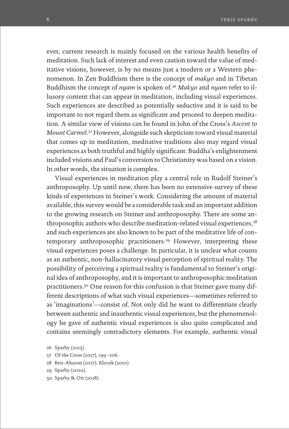ever, current research is mainly focused on the various health benefits of meditation. Such lack of interest and even caution toward the value of meditative visions, however, is by no means just a modern or a Western phenomenon. In Zen Buddhism there is the concept of *makyo* and in Tibetan Buddhism the concept of *nyam* is spoken of.26 *Makyo* and *nyam* refer to illusory content that can appear in meditation, including visual experiences. Such experiences are described as potentially seductive and it is said to be important to not regard them as significant and proceed to deepen meditation. A similar view of visions can be found in John of the Cross's *Ascent to Mount Carmel*. 27 However, alongside such skepticism toward visual material that comes up in meditation, meditative traditions also may regard visual experiences as both truthful and highly significant. Buddha's enlightenment included visions and Paul's conversion to Christianity was based on a vision. In other words, the situation is complex.

Visual experiences in meditation play a central role in Rudolf Steiner's anthroposophy. Up until now, there has been no extensive survey of these kinds of experiences in Steiner's work. Considering the amount of material available, this survey would be a considerable task and an important addition to the growing research on Steiner and anthroposophy. There are some anthroposophic authors who describe meditation-related visual experiences,<sup>28</sup> and such experiences are also known to be part of the meditative life of contemporary anthroposophic practitioners.29 However, interpreting these visual experiences poses a challenge. In particular, it is unclear what counts as an authentic, non-hallucinatory visual perception of spiritual reality. The possibility of perceiving a spiritual reality is fundamental to Steiner's original idea of anthroposophy, and it is important to anthroposophic meditation practitioners.30 One reason for this confusion is that Steiner gave many different descriptions of what such visual experiences—sometimes referred to as 'imaginations'—consist of. Not only did he want to differentiate clearly between authentic and inauthentic visual experiences, but the phenomenology he gave of authentic visual experiences is also quite complicated and contains seemingly contradictory elements. For example, authentic visual

- 27 Of the Cross (2017), 199–206.
- 28 Ben-Aharon (2017); Klocek (2001).
- 29 Sparby (2020).
- 30 Sparby & Ott (2018).

<sup>26</sup> Sparby (2015).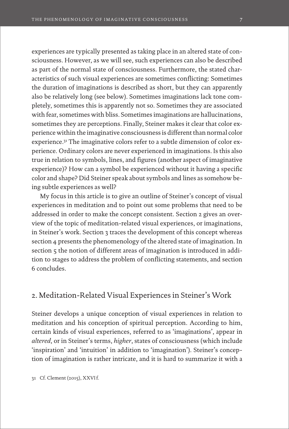experiences are typically presented as taking place in an altered state of consciousness. However, as we will see, such experiences can also be described as part of the normal state of consciousness. Furthermore, the stated characteristics of such visual experiences are sometimes conflicting: Sometimes the duration of imaginations is described as short, but they can apparently also be relatively long (see below). Sometimes imaginations lack tone completely, sometimes this is apparently not so. Sometimes they are associated with fear, sometimes with bliss. Sometimes imaginations are hallucinations, sometimes they are perceptions. Finally, Steiner makes it clear that color experience within the imaginative consciousness is different than normal color experience.31 The imaginative colors refer to a subtle dimension of color experience. Ordinary colors are never experienced in imaginations. Is this also true in relation to symbols, lines, and figures (another aspect of imaginative experience)? How can a symbol be experienced without it having a specific color and shape? Did Steiner speak about symbols and lines as somehow being subtle experiences as well?

My focus in this article is to give an outline of Steiner's concept of visual experiences in meditation and to point out some problems that need to be addressed in order to make the concept consistent. Section 2 gives an overview of the topic of meditation-related visual experiences, or imaginations, in Steiner's work. Section 3 traces the development of this concept whereas section 4 presents the phenomenology of the altered state of imagination. In section 5 the notion of different areas of imagination is introduced in addition to stages to address the problem of conflicting statements, and section 6 concludes.

# 2. Meditation-Related Visual Experiences in Steiner's Work

Steiner develops a unique conception of visual experiences in relation to meditation and his conception of spiritual perception. According to him, certain kinds of visual experiences, referred to as 'imaginations', appear in *altered*, or in Steiner's terms, *higher*, states of consciousness (which include 'inspiration' and 'intuition' in addition to 'imagination'). Steiner's conception of imagination is rather intricate, and it is hard to summarize it with a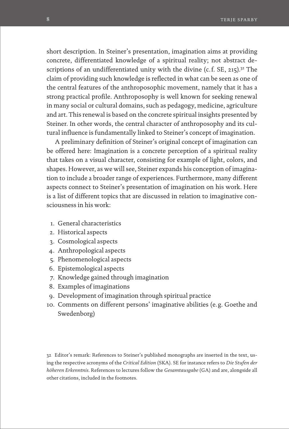short description. In Steiner's presentation, imagination aims at providing concrete, differentiated knowledge of a spiritual reality; not abstract descriptions of an undifferentiated unity with the divine (c.f. SE, 215).<sup>32</sup> The claim of providing such knowledge is reflected in what can be seen as one of the central features of the anthroposophic movement, namely that it has a strong practical profile. Anthroposophy is well known for seeking renewal in many social or cultural domains, such as pedagogy, medicine, agriculture and art. This renewal is based on the concrete spiritual insights presented by Steiner. In other words, the central character of anthroposophy and its cultural influence is fundamentally linked to Steiner's concept of imagination.

A preliminary definition of Steiner's original concept of imagination can be offered here: Imagination is a concrete perception of a spiritual reality that takes on a visual character, consisting for example of light, colors, and shapes. However, as we will see, Steiner expands his conception of imagination to include a broader range of experiences. Furthermore, many different aspects connect to Steiner's presentation of imagination on his work. Here is a list of different topics that are discussed in relation to imaginative consciousness in his work:

- 1. General characteristics
- 2. Historical aspects
- 3. Cosmological aspects
- 4. Anthropological aspects
- 5. Phenomenological aspects
- 6. Epistemological aspects
- 7. Knowledge gained through imagination
- 8. Examples of imaginations
- 9. Development of imagination through spiritual practice
- 10. Comments on different persons' imaginative abilities (e. g. Goethe and Swedenborg)

32 Editor's remark: References to Steiner's published monographs are inserted in the text, using the respective acronyms of the *Critical Edition* (SKA). SE for instance refers to *Die Stufen der höheren Erkenntnis*. References to lectures follow the *Gesamtausgabe* (GA) and are, alongside all other citations, included in the footnotes.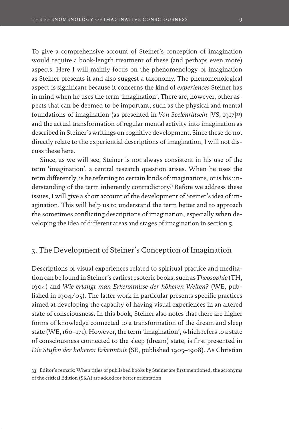To give a comprehensive account of Steiner's conception of imagination would require a book-length treatment of these (and perhaps even more) aspects. Here I will mainly focus on the phenomenology of imagination as Steiner presents it and also suggest a taxonomy. The phenomenological aspect is significant because it concerns the kind of *experiences* Steiner has in mind when he uses the term 'imagination'. There are, however, other aspects that can be deemed to be important, such as the physical and mental foundations of imagination (as presented in *Von Seelenrätseln* [VS, 1917]33) and the actual transformation of regular mental activity into imagination as described in Steiner's writings on cognitive development. Since these do not directly relate to the experiential descriptions of imagination, I will not discuss these here.

Since, as we will see, Steiner is not always consistent in his use of the term 'imagination', a central research question arises. When he uses the term differently, is he referring to certain kinds of imaginations, or is his understanding of the term inherently contradictory? Before we address these issues, I will give a short account of the development of Steiner's idea of imagination. This will help us to understand the term better and to approach the sometimes conflicting descriptions of imagination, especially when developing the idea of different areas and stages of imagination in section 5.

# 3. The Development of Steiner's Conception of Imagination

Descriptions of visual experiences related to spiritual practice and meditation can be found in Steiner's earliest esoteric books, such as *Theosophie* (TH, 1904) and *Wie erlangt man Erkenntnisse der höheren Welten?* (WE, published in 1904/05). The latter work in particular presents specific practices aimed at developing the capacity of having visual experiences in an altered state of consciousness. In this book, Steiner also notes that there are higher forms of knowledge connected to a transformation of the dream and sleep state (WE, 160–171). However, the term 'imagination', which refers to a state of consciousness connected to the sleep (dream) state, is first presented in *Die Stufen der höheren Erkenntnis* (SE, published 1905–1908). As Christian

<sup>33</sup> Editor's remark: When titles of published books by Steiner are first mentioned, the acronyms of the critical Edition (SKA) are added for better orientation.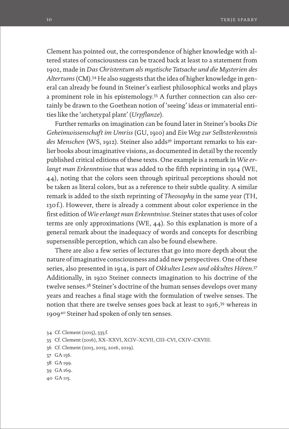Clement has pointed out, the correspondence of higher knowledge with altered states of consciousness can be traced back at least to a statement from 1902, made in *Das Christentum als mystische Tatsache und die Mysterien des Altertums* (CM).34 He also suggests that the idea of higher knowledge in general can already be found in Steiner's earliest philosophical works and plays a prominent role in his epistemology.35 A further connection can also certainly be drawn to the Goethean notion of 'seeing' ideas or immaterial entities like the 'archetypal plant' (*Urpflanze*).

Further remarks on imagination can be found later in Steiner's books *Die Geheimwissenschaft im Umriss* (GU, 1910) and *Ein Weg zur Selbsterkenntnis*  des Menschen (WS, 1912). Steiner also adds<sup>36</sup> important remarks to his earlier books about imaginative visions, as documented in detail by the recently published critical editions of these texts. One example is a remark in *Wie erlangt man Erkenntnisse* that was added to the fifth reprinting in 1914 (WE, 44), noting that the colors seen through spiritual perceptions should not be taken as literal colors, but as a reference to their subtle quality. A similar remark is added to the sixth reprinting of *Theosophy* in the same year (TH, 130f.). However, there is already a comment about color experience in the first edition of *Wie erlangt man Erkenntnisse.* Steiner states that uses of color terms are only approximations (WE, 44). So this explanation is more of a general remark about the inadequacy of words and concepts for describing supersensible perception, which can also be found elsewhere.

There are also a few series of lectures that go into more depth about the nature of imaginative consciousness and add new perspectives. One of these series, also presented in 1914, is part of *Okkultes Lesen und okkultes Hören*. 37 Additionally, in 1920 Steiner connects imagination to his doctrine of the twelve senses.38 Steiner's doctrine of the human senses develops over many years and reaches a final stage with the formulation of twelve senses. The notion that there are twelve senses goes back at least to 1916,<sup>39</sup> whereas in 190940 Steiner had spoken of only ten senses.

- 34 Cf. Clement (2015), 335 f.
- 35 Cf. Clement (2016), XX–XXVI, XCIV–XCVII, CIII–CVI, CXIV–CXVIII.
- 36 Cf. Clement (2013, 2015, 2016, 2019).
- 37 GA 156.
- 38 GA 199.
- 39 GA 169.
- 40 GA 115.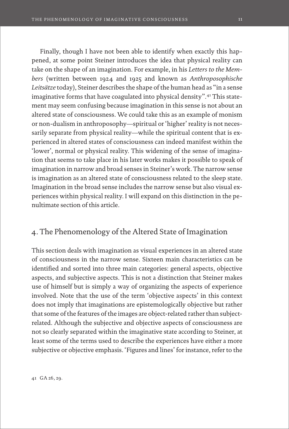Finally, though I have not been able to identify when exactly this happened, at some point Steiner introduces the idea that physical reality can take on the shape of an imagination. For example, in his *Letters to the Members* (written between 1924 and 1925 and known as *Anthroposophische Leitsätze* today), Steiner describes the shape of the human head as "in a sense imaginative forms that have coagulated into physical density".41 This statement may seem confusing because imagination in this sense is not about an altered state of consciousness. We could take this as an example of monism or non-dualism in anthroposophy—spiritual or 'higher' reality is not necessarily separate from physical reality—while the spiritual content that is experienced in altered states of consciousness can indeed manifest within the 'lower', normal or physical reality. This widening of the sense of imagination that seems to take place in his later works makes it possible to speak of imagination in narrow and broad senses in Steiner's work. The narrow sense is imagination as an altered state of consciousness related to the sleep state. Imagination in the broad sense includes the narrow sense but also visual experiences within physical reality. I will expand on this distinction in the penultimate section of this article.

# 4. The Phenomenology of the Altered State of Imagination

This section deals with imagination as visual experiences in an altered state of consciousness in the narrow sense. Sixteen main characteristics can be identified and sorted into three main categories: general aspects, objective aspects, and subjective aspects. This is not a distinction that Steiner makes use of himself but is simply a way of organizing the aspects of experience involved. Note that the use of the term 'objective aspects' in this context does not imply that imaginations are epistemologically objective but rather that some of the features of the images are object-related rather than subjectrelated. Although the subjective and objective aspects of consciousness are not so clearly separated within the imaginative state according to Steiner, at least some of the terms used to describe the experiences have either a more subjective or objective emphasis. 'Figures and lines' for instance, refer to the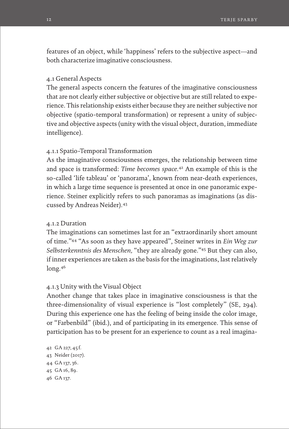features of an object, while 'happiness' refers to the subjective aspect—and both characterize imaginative consciousness.

#### 4.1 General Aspects

The general aspects concern the features of the imaginative consciousness that are not clearly either subjective or objective but are still related to experience. This relationship exists either because they are neither subjective nor objective (spatio-temporal transformation) or represent a unity of subjective and objective aspects (unity with the visual object, duration, immediate intelligence).

## 4.1.1 Spatio-Temporal Transformation

As the imaginative consciousness emerges, the relationship between time and space is transformed: *Time becomes space*. 42 An example of this is the so-called 'life tableau' or 'panorama', known from near-death experiences, in which a large time sequence is presented at once in one panoramic experience. Steiner explicitly refers to such panoramas as imaginations (as discussed by Andreas Neider).43

### 4.1.2 Duration

The imaginations can sometimes last for an "extraordinarily short amount of time."44 "As soon as they have appeared", Steiner writes in *Ein Weg zur Selbsterkenntnis des Menschen,* "they are already gone."45 But they can also, if inner experiences are taken as the basis for the imaginations, last relatively long.46

#### 4.1.3 Unity with the Visual Object

Another change that takes place in imaginative consciousness is that the three-dimensionality of visual experience is "lost completely" (SE, 294). During this experience one has the feeling of being inside the color image, or "Farbenbild" (ibid.), and of participating in its emergence. This sense of participation has to be present for an experience to count as a real imagina-

 GA 227, 45 f. Neider (2017). GA 137, 36. GA 16, 89. 46 GA 137.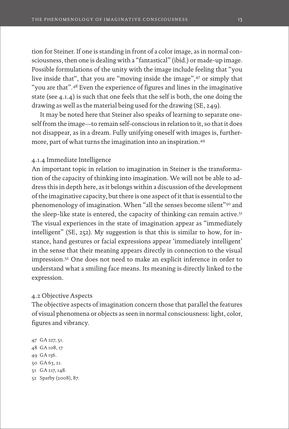tion for Steiner. If one is standing in front of a color image, as in normal consciousness, then one is dealing with a "fantastical" (ibid.) or made-up image. Possible formulations of the unity with the image include feeling that "you live inside that", that you are "moving inside the image",47 or simply that "you are that".48 Even the experience of figures and lines in the imaginative state (see 4.1.4) is such that one feels that the self is both, the one doing the drawing as well as the material being used for the drawing (SE, 249).

It may be noted here that Steiner also speaks of learning to separate oneself from the image—to remain self-conscious in relation to it, so that it does not disappear, as in a dream. Fully unifying oneself with images is, furthermore, part of what turns the imagination into an inspiration.49

#### 4.1.4 Immediate Intelligence

An important topic in relation to imagination in Steiner is the transformation of the capacity of thinking into imagination. We will not be able to address this in depth here, as it belongs within a discussion of the development of the imaginative capacity, but there is one aspect of it that is essential to the phenomenology of imagination. When "all the senses become silent"50 and the sleep-like state is entered, the capacity of thinking can remain active.<sup>51</sup> The visual experiences in the state of imagination appear as "immediately intelligent" (SE, 252). My suggestion is that this is similar to how, for instance, hand gestures or facial expressions appear 'immediately intelligent' in the sense that their meaning appears directly in connection to the visual impression.52 One does not need to make an explicit inference in order to understand what a smiling face means. Its meaning is directly linked to the expression.

#### 4.2 Objective Aspects

The objective aspects of imagination concern those that parallel the features of visual phenomena or objects as seen in normal consciousness: light, color, figures and vibrancy.

 GA 227, 51. GA 108, 17 49 GA 156. GA 63, 21. GA 217, 148. Sparby (2008), 87.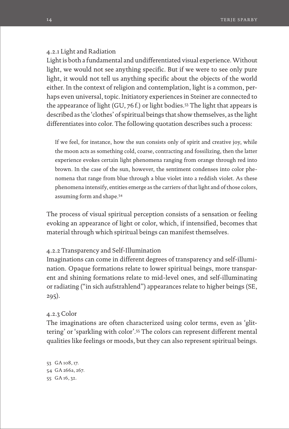#### 4.2.1 Light and Radiation

Light is both a fundamental and undifferentiated visual experience. Without light, we would not see anything specific. But if we were to see only pure light, it would not tell us anything specific about the objects of the world either. In the context of religion and contemplation, light is a common, perhaps even universal, topic. Initiatory experiences in Steiner are connected to the appearance of light (GU, 76f.) or light bodies.53 The light that appears is described as the 'clothes' of spiritual beings that show themselves, as the light differentiates into color. The following quotation describes such a process:

If we feel, for instance, how the sun consists only of spirit and creative joy, while the moon acts as something cold, coarse, contracting and fossilizing, then the latter experience evokes certain light phenomena ranging from orange through red into brown. In the case of the sun, however, the sentiment condenses into color phenomena that range from blue through a blue violet into a reddish violet. As these phenomena intensify, entities emerge as the carriers of that light and of those colors, assuming form and shape.54

The process of visual spiritual perception consists of a sensation or feeling evoking an appearance of light or color, which, if intensified, becomes that material through which spiritual beings can manifest themselves.

#### 4.2.2 Transparency and Self-Illumination

Imaginations can come in different degrees of transparency and self-illumination. Opaque formations relate to lower spiritual beings, more transparent and shining formations relate to mid-level ones, and self-illuminating or radiating ("in sich aufstrahlend") appearances relate to higher beings (SE, 295).

#### 4.2.3 Color

The imaginations are often characterized using color terms, even as 'glittering' or 'sparkling with color'.55 The colors can represent different mental qualities like feelings or moods, but they can also represent spiritual beings.

53 GA 108, 17. 54 GA 266a, 267. 55 GA 16, 32.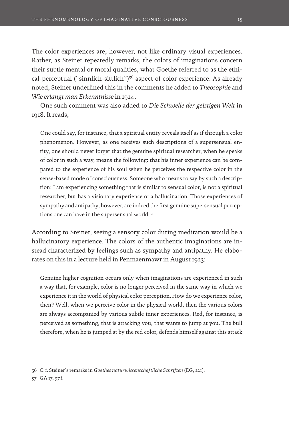The color experiences are, however, not like ordinary visual experiences. Rather, as Steiner repeatedly remarks, the colors of imaginations concern their subtle mental or moral qualities, what Goethe referred to as the ethical-perceptual ("sinnlich-sittlich")<sup>56</sup> aspect of color experience. As already noted, Steiner underlined this in the comments he added to *Theosophie* and *Wie erlangt man Erkenntnisse* in 1914.

One such comment was also added to *Die Schwelle der geistigen Welt* in 1918. It reads,

One could say, for instance, that a spiritual entity reveals itself as if through a color phenomenon. However, as one receives such descriptions of a supersensual entity, one should never forget that the genuine spiritual researcher, when he speaks of color in such a way, means the following: that his inner experience can be compared to the experience of his soul when he perceives the respective color in the sense-based mode of consciousness. Someone who means to say by such a description: I am experiencing something that is similar to sensual color, is not a spiritual researcher, but has a visionary experience or a hallucination. Those experiences of sympathy and antipathy, however, are indeed the first genuine supersensual perceptions one can have in the supersensual world.57

According to Steiner, seeing a sensory color during meditation would be a hallucinatory experience. The colors of the authentic imaginations are instead characterized by feelings such as sympathy and antipathy. He elaborates on this in a lecture held in Penmaenmawr in August 1923:

Genuine higher cognition occurs only when imaginations are experienced in such a way that, for example, color is no longer perceived in the same way in which we experience it in the world of physical color perception. How do we experience color, then? Well, when we perceive color in the physical world, then the various colors are always accompanied by various subtle inner experiences. Red, for instance, is perceived as something, that is attacking you, that wants to jump at you. The bull therefore, when he is jumped at by the red color, defends himself against this attack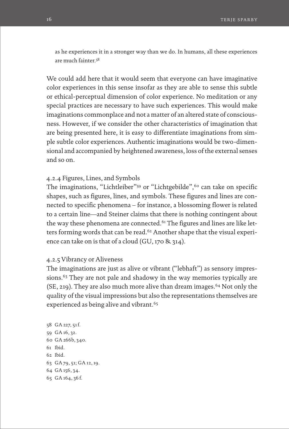as he experiences it in a stronger way than we do. In humans, all these experiences are much fainter.<sup>58</sup>

We could add here that it would seem that everyone can have imaginative color experiences in this sense insofar as they are able to sense this subtle or ethical-perceptual dimension of color experience. No meditation or any special practices are necessary to have such experiences. This would make imaginations commonplace and not a matter of an altered state of consciousness. However, if we consider the other characteristics of imagination that are being presented here, it is easy to differentiate imaginations from simple subtle color experiences. Authentic imaginations would be two-dimensional and accompanied by heightened awareness, loss of the external senses and so on.

### 4.2.4 Figures, Lines, and Symbols

The imaginations, "Lichtleiber"<sup>59</sup> or "Lichtgebilde",<sup>60</sup> can take on specific shapes, such as figures, lines, and symbols. These figures and lines are connected to specific phenomena – for instance, a blossoming flower is related to a certain line—and Steiner claims that there is nothing contingent about the way these phenomena are connected.<sup>61</sup> The figures and lines are like letters forming words that can be read.<sup>62</sup> Another shape that the visual experience can take on is that of a cloud (GU, 170 & 314).

### 4.2.5 Vibrancy or Aliveness

The imaginations are just as alive or vibrant ("lebhaft") as sensory impressions.<sup>63</sup> They are not pale and shadowy in the way memories typically are  $(SE, 219)$ . They are also much more alive than dream images.<sup>64</sup> Not only the quality of the visual impressions but also the representations themselves are experienced as being alive and vibrant.<sup>65</sup>

 GA 227, 51f. GA 16, 32. GA 266b, 340. 61 Ibid. 62 Ibid. GA 79, 51; GA 12, 19. GA 156, 34. GA 164, 36 f.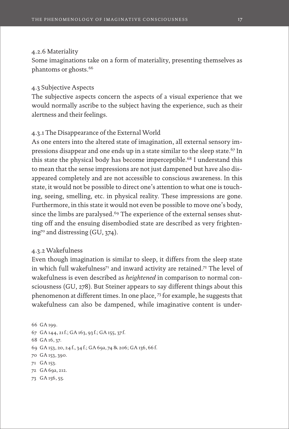#### 4.2.6 Materiality

Some imaginations take on a form of materiality, presenting themselves as phantoms or ghosts.66

## 4.3 Subjective Aspects

The subjective aspects concern the aspects of a visual experience that we would normally ascribe to the subject having the experience, such as their alertness and their feelings.

## 4.3.1 The Disappearance of the External World

As one enters into the altered state of imagination, all external sensory impressions disappear and one ends up in a state similar to the sleep state.67 In this state the physical body has become imperceptible.<sup>68</sup> I understand this to mean that the sense impressions are not just dampened but have also disappeared completely and are not accessible to conscious awareness. In this state, it would not be possible to direct one's attention to what one is touching, seeing, smelling, etc. in physical reality. These impressions are gone. Furthermore, in this state it would not even be possible to move one's body, since the limbs are paralysed.<sup>69</sup> The experience of the external senses shutting off and the ensuing disembodied state are described as very frightening<sup>70</sup> and distressing  $(GU, 374)$ .

#### 4.3.2 Wakefulness

Even though imagination is similar to sleep, it differs from the sleep state in which full wakefulness<sup>71</sup> and inward activity are retained.<sup>72</sup> The level of wakefulness is even described as *heightened* in comparison to normal consciousness (GU, 278). But Steiner appears to say different things about this phenomenon at different times. In one place, 73 for example, he suggests that wakefulness can also be dampened, while imaginative content is under-

66 GA 199. GA 144, 21f.; GA 163, 93 f.; GA 155, 37 f. GA 16, 37. GA 153, 20, 24 f., 34 f.; GA 69a, 74 & 206; GA 136, 66 f. GA 153, 390. 71 GA 153. GA 69a, 212. GA 156, 55.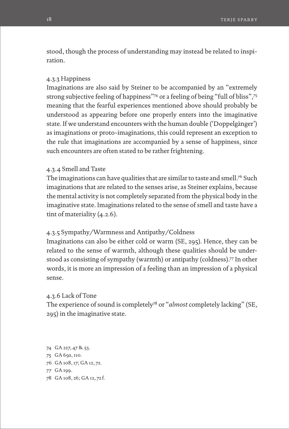stood, though the process of understanding may instead be related to inspiration.

#### 4.3.3 Happiness

Imaginations are also said by Steiner to be accompanied by an "extremely strong subjective feeling of happiness"74 or a feeling of being "full of bliss",75 meaning that the fearful experiences mentioned above should probably be understood as appearing before one properly enters into the imaginative state. If we understand encounters with the human double ('Doppelgänger') as imaginations or proto-imaginations, this could represent an exception to the rule that imaginations are accompanied by a sense of happiness, since such encounters are often stated to be rather frightening.

## 4.3.4 Smell and Taste

The imaginations can have qualities that are similar to taste and smell.76 Such imaginations that are related to the senses arise, as Steiner explains, because the mental activity is not completely separated from the physical body in the imaginative state. Imaginations related to the sense of smell and taste have a tint of materiality (4.2.6).

## 4.3.5 Sympathy/Warmness and Antipathy/Coldness

Imaginations can also be either cold or warm (SE, 295). Hence, they can be related to the sense of warmth, although these qualities should be understood as consisting of sympathy (warmth) or antipathy (coldness).77 In other words, it is more an impression of a feeling than an impression of a physical sense.

#### 4.3.6 Lack of Tone

The experience of sound is completely78 or "*almost* completely lacking" (SE, 295) in the imaginative state.

- 74 GA 227, 47 & 53. 75 GA 69a, 110. 76 GA 108, 17; GA 12, 72. 77 GA 199.
- 78 GA 108, 26; GA 12, 72 f.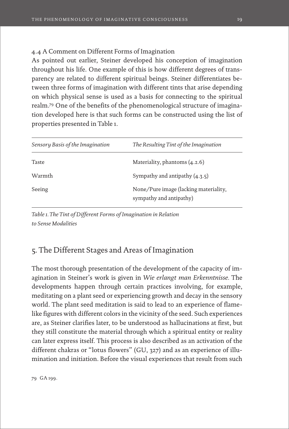## 4.4 A Comment on Different Forms of Imagination

As pointed out earlier, Steiner developed his conception of imagination throughout his life. One example of this is how different degrees of transparency are related to different spiritual beings. Steiner differentiates between three forms of imagination with different tints that arise depending on which physical sense is used as a basis for connecting to the spiritual realm.79 One of the benefits of the phenomenological structure of imagination developed here is that such forms can be constructed using the list of properties presented in Table 1.

| Sensory Basis of the Imagination | The Resulting Tint of the Imagination                            |
|----------------------------------|------------------------------------------------------------------|
| Taste                            | Materiality, phantoms $(4.2.6)$                                  |
| Warmth                           | Sympathy and antipathy $(4.3.5)$                                 |
| Seeing                           | None/Pure image (lacking materiality,<br>sympathy and antipathy) |

*Table 1. The Tint of Different Forms of Imagination in Relation to Sense Modalities*

# 5. The Different Stages and Areas of Imagination

The most thorough presentation of the development of the capacity of imagination in Steiner's work is given in *Wie erlangt man Erkenntnisse.* The developments happen through certain practices involving, for example, meditating on a plant seed or experiencing growth and decay in the sensory world. The plant seed meditation is said to lead to an experience of flamelike figures with different colors in the vicinity of the seed. Such experiences are, as Steiner clarifies later, to be understood as hallucinations at first, but they still constitute the material through which a spiritual entity or reality can later express itself. This process is also described as an activation of the different chakras or "lotus flowers" (GU, 327) and as an experience of illumination and initiation. Before the visual experiences that result from such

79 GA 199.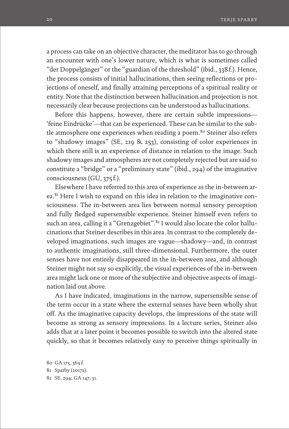a process can take on an objective character, the meditator has to go through an encounter with one's lower nature, which is what is sometimes called "der Doppelgänger" or the "guardian of the threshold" (ibid., 338f.). Hence, the process consists of initial hallucinations, then seeing reflections or projections of oneself, and finally attaining perceptions of a spiritual reality or entity. Note that the distinction between hallucination and projection is not necessarily clear because projections can be understood as hallucinations.

Before this happens, however, there are certain subtle impressions— 'feine Eindrücke'—that can be experienced. These can be similar to the subtle atmosphere one experiences when reading a poem.<sup>80</sup> Steiner also refers to "shadowy images" (SE, 219 & 253), consisting of color experiences in which there still is an experience of distance in relation to the image. Such shadowy images and atmospheres are not completely rejected but are said to constitute a "bridge" or a "preliminary state" (ibid., 294) of the imaginative consciousness (GU, 375 f.).

Elsewhere I have referred to this area of experience as the in-between area.<sup>81</sup> Here I wish to expand on this idea in relation to the imaginative consciousness. The in-between area lies between normal sensory perception and fully fledged supersensible experience. Steiner himself even refers to such an area, calling it a "Grenzgebiet".<sup>82</sup> I would also locate the color hallucinations that Steiner describes in this area. In contrast to the completely developed imaginations, such images are vague—shadowy—and, in contrast to authentic imaginations, still three-dimensional. Furthermore, the outer senses have not entirely disappeared in the in-between area, and although Steiner might not say so explicitly, the visual experiences of the in-between area might lack one or more of the subjective and objective aspects of imagination laid out above.

As I have indicated, imaginations in the narrow, supersensible sense of the term occur in a state where the external senses have been wholly shut off. As the imaginative capacity develops, the impressions of the state will become as strong as sensory impressions. In a lecture series, Steiner also adds that at a later point it becomes possible to switch into the altered state quickly, so that it becomes relatively easy to perceive things spiritually in

80 GA 175, 369 f. 81 Sparby (2017a). 82 SE, 294; GA 147, 31.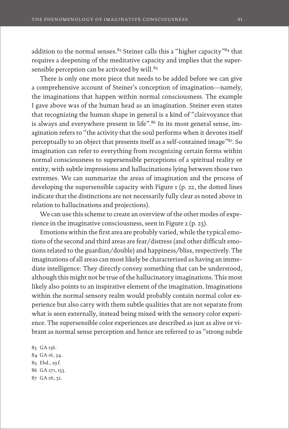addition to the normal senses.<sup>83</sup> Steiner calls this a "higher capacity"<sup>84</sup> that requires a deepening of the meditative capacity and implies that the supersensible perception can be activated by will.<sup>85</sup>

There is only one more piece that needs to be added before we can give a comprehensive account of Steiner's conception of imagination—namely, the imaginations that happen within normal consciousness. The example I gave above was of the human head as an imagination. Steiner even states that recognizing the human shape in general is a kind of "clairvoyance that is always and everywhere present in life".<sup>86</sup> In its most general sense, imagination refers to "the activity that the soul performs when it devotes itself perceptually to an object that presents itself as a self-contained image"87. So imagination can refer to everything from recognizing certain forms within normal consciousness to supersensible perceptions of a spiritual reality or entity, with subtle impressions and hallucinations lying between those two extremes. We can summarize the areas of imagination and the process of developing the supersensible capacity with Figure 1 (p. 22, the dotted lines indicate that the distinctions are not necessarily fully clear as noted above in relation to hallucinations and projections).

We can use this scheme to create an overview of the other modes of experience in the imaginative consciousness, seen in Figure 2 (p. 23).

Emotions within the first area are probably varied, while the typical emotions of the second and third areas are fear/distress (and other difficult emotions related to the guardian/double) and happiness/bliss, respectively. The imaginations of all areas can most likely be characterized as having an immediate intelligence: They directly convey something that can be understood, although this might not be true of the hallucinatory imaginations. This most likely also points to an inspirative element of the imagination. Imaginations within the normal sensory realm would probably contain normal color experience but also carry with them subtle qualities that are not separate from what is seen externally, instead being mixed with the sensory color experience. The supersensible color experiences are described as just as alive or vibrant as normal sense perception and hence are referred to as "strong subtle

83 GA 136. GA 16, 34. Ebd., 29 f. GA 271, 153. GA 26, 32.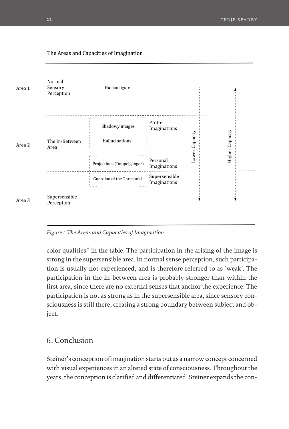

*Figure 1. The Areas and Capacities of Imagination*

color qualities" in the table. The participation in the arising of the image is strong in the supersensible area. In normal sense perception, such participation is usually not experienced, and is therefore referred to as 'weak'. The participation in the in-between area is probably stronger than within the first area, since there are no external senses that anchor the experience. The participation is not as strong as in the supersensible area, since sensory consciousness is still there, creating a strong boundary between subject and object.

# 6. Conclusion

Steiner's conception of imagination starts out as a narrow concept concerned with visual experiences in an altered state of consciousness. Throughout the years, the conception is clarified and differentiated. Steiner expands the con-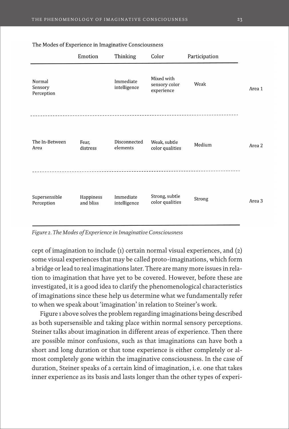|                                 | Emotion                | Thinking                  | Color                                     | Participation |        |
|---------------------------------|------------------------|---------------------------|-------------------------------------------|---------------|--------|
| Normal<br>Sensory<br>Perception |                        | Immediate<br>intelligence | Mixed with<br>sensory color<br>experience | Weak          | Area 1 |
| The In-Between<br>Area          | Fear,<br>distress      | Disconnected<br>elements  | Weak, subtle<br>color qualities           | Medium        | Area 2 |
| Supersensible<br>Perception     | Happiness<br>and bliss | Immediate<br>intelligence | Strong, subtle<br>color qualities         | Strong        | Area 3 |

The Modes of Experience in Imaginative Consciousness

*Figure 2. The Modes of Experience in Imaginative Consciousness*

cept of imagination to include (1) certain normal visual experiences, and (2) some visual experiences that may be called proto-imaginations, which form a bridge or lead to real imaginations later. There are many more issues in relation to imagination that have yet to be covered. However, before these are investigated, it is a good idea to clarify the phenomenological characteristics of imaginations since these help us determine what we fundamentally refer to when we speak about 'imagination' in relation to Steiner's work.

Figure 1 above solves the problem regarding imaginations being described as both supersensible and taking place within normal sensory perceptions. Steiner talks about imagination in different areas of experience. Then there are possible minor confusions, such as that imaginations can have both a short and long duration or that tone experience is either completely or almost completely gone within the imaginative consciousness. In the case of duration, Steiner speaks of a certain kind of imagination, i. e. one that takes inner experience as its basis and lasts longer than the other types of experi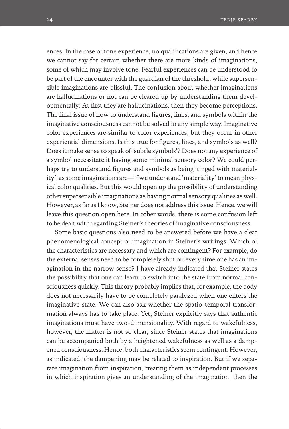ences. In the case of tone experience, no qualifications are given, and hence we cannot say for certain whether there are more kinds of imaginations, some of which may involve tone. Fearful experiences can be understood to be part of the encounter with the guardian of the threshold, while supersensible imaginations are blissful. The confusion about whether imaginations are hallucinations or not can be cleared up by understanding them developmentally: At first they are hallucinations, then they become perceptions. The final issue of how to understand figures, lines, and symbols within the imaginative consciousness cannot be solved in any simple way. Imaginative color experiences are similar to color experiences, but they occur in other experiential dimensions. Is this true for figures, lines, and symbols as well? Does it make sense to speak of 'subtle symbols'? Does not any experience of a symbol necessitate it having some minimal sensory color? We could perhaps try to understand figures and symbols as being 'tinged with materiality', as some imaginations are—if we understand 'materiality' to mean physical color qualities. But this would open up the possibility of understanding other supersensible imaginations as having normal sensory qualities as well. However, as far as I know, Steiner does not address this issue. Hence, we will leave this question open here. In other words, there is some confusion left to be dealt with regarding Steiner's theories of imaginative consciousness.

Some basic questions also need to be answered before we have a clear phenomenological concept of imagination in Steiner's writings: Which of the characteristics are necessary and which are contingent? For example, do the external senses need to be completely shut off every time one has an imagination in the narrow sense? I have already indicated that Steiner states the possibility that one can learn to switch into the state from normal consciousness quickly. This theory probably implies that, for example, the body does not necessarily have to be completely paralyzed when one enters the imaginative state. We can also ask whether the spatio-temporal transformation always has to take place. Yet, Steiner explicitly says that authentic imaginations must have two-dimensionality. With regard to wakefulness, however, the matter is not so clear, since Steiner states that imaginations can be accompanied both by a heightened wakefulness as well as a dampened consciousness. Hence, both characteristics seem contingent. However, as indicated, the dampening may be related to inspiration. But if we separate imagination from inspiration, treating them as independent processes in which inspiration gives an understanding of the imagination, then the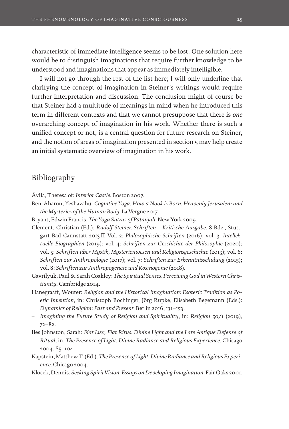characteristic of immediate intelligence seems to be lost. One solution here would be to distinguish imaginations that require further knowledge to be understood and imaginations that appear as immediately intelligible.

I will not go through the rest of the list here; I will only underline that clarifying the concept of imagination in Steiner's writings would require further interpretation and discussion. The conclusion might of course be that Steiner had a multitude of meanings in mind when he introduced this term in different contexts and that we cannot presuppose that there is *one*  overarching concept of imagination in his work. Whether there is such a unified concept or not, is a central question for future research on Steiner, and the notion of areas of imagination presented in section 5 may help create an initial systematic overview of imagination in his work.

# Bibliography

Ávila, Theresa of: *Interior Castle*. Boston 2007.

- Ben-Aharon, Yeshazahu: *Cognitive Yoga: How a Nook is Born. Heavenly Jerusalem and the Mysteries of the Human Body*. La Vergne 2017.
- Bryant, Edwin Francis: *The Yoga Sutras of Patañjali*. New York 2009.
- Clement, Christian (Ed.): *Rudolf Steiner. Schriften Kritische Ausgabe*. 8 Bde., Stuttgart-Bad Cannstatt 2013 ff. Vol. 2: *Philosophische Schriften* (2016); vol. 3: *Intellektuelle Biographien* (2019); vol. 4: *Schriften zur Geschichte der Philosophie* (2020); vol. 5: *Schriften über Mystik, Mysterienwesen und Religionsgeschichte* (2013); vol. 6: *Schriften zur Anthropologie* (2017); vol. 7: *Schriften zur Erkenntnisschulung* (2015); vol. 8: *Schriften zur Anthropogenese und Kosmogonie* (2018).
- Gavrilyuk, Paul & Sarah Coakley: *The Spiritual Senses. Perceiving God in Western Christianity*. Cambridge 2014.
- Hanegraaff, Wouter: *Religion and the Historical Imagination: Esoteric Tradition as Poetic Invention*, in: Christoph Bochinger, Jörg Rüpke, Elisabeth Begemann (Eds.): *Dynamics of Religion*: *Past and Present*. Berlin 2016, 131–153.
- *Imagining the Future Study of Religion and Spirituality*, in: *Religion* 50/1 (2019), 72–82.
- Iles Johnston, Sarah: *Fiat Lux, Fiat Ritus: Divine Light and the Late Antique Defense of Ritual*, in: *The Presence of Light: Divine Radiance and Religious Experience*. Chicago 2004, 85–104.
- Kapstein, Matthew T. (Ed.): *The Presence of Light: Divine Radiance and Religious Experience*. Chicago 2004.

Klocek, Dennis: *Seeking Spirit Vision: Essays on Developing Imagination*. Fair Oaks 2001.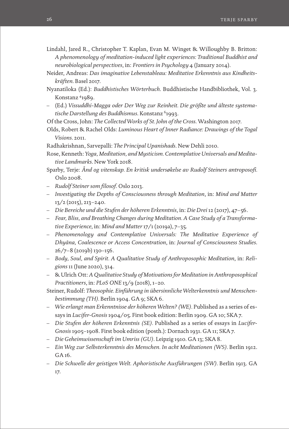- Lindahl, Jared R., Christopher T. Kaplan, Evan M. Winget & Willoughby B. Britton: *A phenomenology of meditation-induced light experiences: Traditional Buddhist and neurobiological perspectives*, in: *Frontiers in Psychology* 4 (January 2014).
- Neider, Andreas: *Das imaginative Lebenstableau: Meditative Erkenntnis aus Kindheitskräften*. Basel 2017.
- Nyanatiloka (Ed.): *Buddhistisches Wörterbuch*. Buddhistische Handbibliothek, Vol. 3. Konstanz 41989.
- (Ed.) *Vissuddhi-Magga oder Der Weg zur Reinheit. Die größte und älteste systematische Darstellung des Buddhismus*. Konstanz 61993.
- Of the Cross, John: *The Collected Works of St. John of the Cross*. Washington 2017.
- Olds, Robert & Rachel Olds: *Luminous Heart of Inner Radiance: Drawings of the Togal Visions*. 2011.
- Radhakrishnan, Sarvepalli: *The Principal Upanishads*. New Dehli 2010.
- Rose, Kenneth: *Yoga, Meditation, and Mysticism. Contemplative Universals and Meditative Landmarks*. New York 2018.
- Sparby, Terje: *Ånd og vitenskap. En kritisk undersøkelse av Rudolf Steiners antroposofi.*  Oslo 2008.
- *Rudolf Steiner som filosof*. Oslo 2013.
- *Investigating the Depths of Consciousness through Meditation*, in: *Mind and Matter* 13/2 (2015), 213–240.
- *Die Bereiche und die Stufen der höheren Erkenntnis*, in: *Die Drei* 12 (2017), 47–56.
- *Fear, Bliss, and Breathing Changes during Meditation. A Case Study of a Transformative Experience*, in: *Mind and Matter* 17/1 (2019a), 7–35.
- *Phenomenology and Contemplative Universals: The Meditative Experience of Dhyāna, Coalescence or Access Concentration*, in: *Journal of Consciousness Studies*. 26/7–8 (2019b) 130–156.
- *Body, Soul, and Spirit. A Qualitative Study of Anthroposophic Meditation*, in: *Religions* 11 (June 2020), 314.
- & Ulrich Ott: *A Qualitative Study of Motivations for Meditation in Anthroposophical Practitioners*, in: *PLoS ONE* 13/9 (2018), 1–20.
- Steiner, Rudolf: *Theosophie. Einführung in übersinnliche Welterkenntnis und Menschenbestimmung (TH).* Berlin 1904. GA 9; SKA 6.
- *Wie erlangt man Erkenntnisse der höheren Welten? (WE).* Published as a series of essays in *Lucifer-Gnosis* 1904/05. First book edition: Berlin 1909. GA 10; SKA 7.
- *Die Stufen der höheren Erkenntnis (SE).* Published as a series of essays in *Lucifer-Gnosis* 1905–1908. First book edition (posth.): Dornach 1931. GA 11; SKA 7.
- *Die Geheimwissenschaft im Umriss (GU)*. Leipzig 1910. GA 13; SKA 8.
- *Ein Weg zur Selbsterkenntnis des Menschen. In acht Meditationen (WS).* Berlin 1912. GA 16.
- *Die Schwelle der geistigen Welt. Aphoristische Ausführungen (SW).* Berlin 1913. GA 17.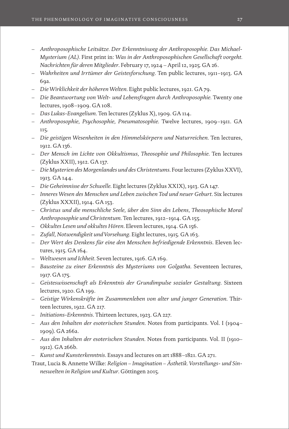- *Anthroposophische Leitsätze. Der Erkenntnisweg der Anthroposophie. Das Michael-Mysterium (AL).* First print in: *Was in der Anthroposophischen Gesellschaft vorgeht. Nachrichten für deren Mitglieder*. February 17, 1924 – April 12, 1925*.* GA 26.
- *Wahrheiten und Irrtümer der Geistesforschung*. Ten public lectures, 1911–1913. GA 69a.
- *Die Wirklichkeit der höheren Welten*. Eight public lectures, 1921. GA 79.
- *Die Beantwortung von Welt- und Lebensfragen durch Anthroposophie.* Twenty one lectures, 1908–1909. GA 108.
- *Das Lukas-Evangelium*. Ten lectures (Zyklus X), 1909. GA 114.
- *Anthroposophie, Psychosophie, Pneumatosophie*. Twelve lectures, 1909–1911. GA 115.
- *Die geistigen Wesenheiten in den Himmelskörpern und Naturreichen*. Ten lectures, 1912. GA 136.
- *Der Mensch im Lichte von Okkultismus, Theosophie und Philosophie*. Ten lectures (Zyklus XXII), 1912. GA 137.
- *Die Mysterien des Morgenlandes und des Christentums*. Four lectures (Zyklus XXVI), 1913. GA 144.
- *Die Geheimnisse der Schwelle*. Eight lectures (Zyklus XXIX), 1913. GA 147.
- *Inneres Wesen des Menschen und Leben zwischen Tod und neuer Geburt*. Six lectures (Zyklus XXXII), 1914. GA 153.
- *Christus und die menschliche Seele, über den Sinn des Lebens, Theosophische Moral Anthroposophie und Christentum*. Ten lectures, 1912–1914. GA 155.
- *Okkultes Lesen und okkultes Hören*. Eleven lectures, 1914. GA 156.
- *Zufall, Notwendigkeit und Vorsehung*. Eight lectures, 1915. GA 163.
- *Der Wert des Denkens für eine den Menschen befriedigende Erkenntnis*. Eleven lectures, 1915. GA 164.
- *Weltwesen und Ichheit*. Seven lectures, 1916. GA 169.
- *Bausteine zu einer Erkenntnis des Mysteriums von Golgatha*. Seventeen lectures, 1917. GA 175.
- *Geisteswissenschaft als Erkenntnis der Grundimpulse sozialer Gestaltung*. Sixteen lectures, 1920. GA 199.
- *Geistige Wirkenskräfte im Zusammenleben von alter und junger Generation*. Thirteen lectures, 1922. GA 217.
- *Initiations-Erkenntnis*. Thirteen lectures, 1923. GA 227.
- *Aus den Inhalten der esoterischen Stunden*. Notes from participants. Vol. I (1904– 1909). GA 266a.
- *Aus den Inhalten der esoterischen Stunden*. Notes from participants. Vol. II (1910– 1912). GA 266b.
- *Kunst und Kunsterkenntnis*. Essays and lectures on art 1888–1821. GA 271.
- Traut, Lucia & Annette Wilke: *Religion Imagination Ästhetik. Vorstellungs- und Sinneswelten in Religion und Kultur*. Göttingen 2015.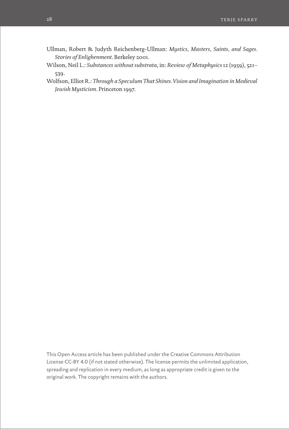- Ullman, Robert & Judyth Reichenberg-Ullman: *Mystics, Masters, Saints, and Sages. Stories of Enlighenment*. Berkeley 2001.
- Wilson, Neil L.: *Substances without substrata*, in: *Review of Metaphysics* 12 (1959), 521– 539.
- Wolfson, Elliot R.: *Through a Speculum That Shines. Vision and Imagination in Medieval Jewish Mysticism*. Princeton 1997.

This Open Access article has been published under the Creative Commons Attribution License CC-BY 4.0 (if not stated otherwise). The license permits the unlimited application, spreading and replication in every medium, as long as appropriate credit is given to the original work. The copyright remains with the authors.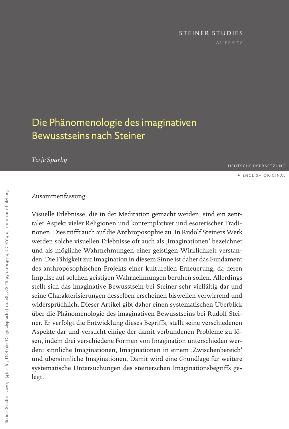# STEINER STUDIES

# <span id="page-28-0"></span>Die Phänomenologie des imaginativen Bewusstseins nach Steiner

*Terje Sparby*

DEUTSCHE ÜBERSETZUNG

**[ENGLISH ORIGINAL](#page-0-0)** 

# Zusammenfassung

Visuelle Erlebnisse, die in der Meditation gemacht werden, sind ein zentraler Aspekt vieler Religionen und kontemplativer und esoterischer Traditionen. Dies trifft auch auf die Anthroposophie zu. In Rudolf Steiners Werk werden solche visuellen Erlebnisse oft auch als ,Imaginationen' bezeichnet und als mögliche Wahrnehmungen einer geistigen Wirklichkeit verstanden. Die Fähigkeit zur Imagination in diesem Sinne ist daher das Fundament des anthroposophischen Projekts einer kulturellen Erneuerung, da deren Impulse auf solchen geistigen Wahrnehmungen beruhen sollen. Allerdings stellt sich das imaginative Bewusstsein bei Steiner sehr vielfältig dar und seine Charakterisierungen desselben erscheinen bisweilen verwirrend und widersprüchlich. Dieser Artikel gibt daher einen systematischen Überblick über die Phänomenologie des imaginativen Bewusstseins bei Rudolf Steiner. Er verfolgt die Entwicklung dieses Begriffs, stellt seine verschiedenen Aspekte dar und versucht einige der damit verbundenen Probleme zu lösen, indem drei verschiedene Formen von Imagination unterschieden werden: sinnliche Imaginationen, Imaginationen in einem ,Zwischenbereich' und übersinnliche Imaginationen. Damit wird eine Grundlage für weitere systematische Untersuchungen des steinerschen Imaginationsbegriffs gelegt.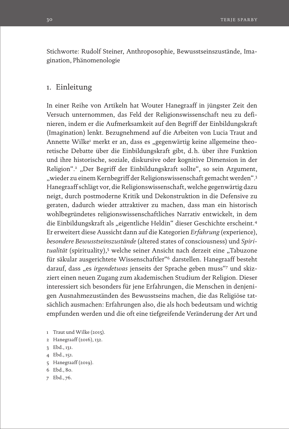Stichworte: Rudolf Steiner, Anthroposophie, Bewusstseinszustände, Imagination, Phänomenologie

# 1. Einleitung

In einer Reihe von Artikeln hat Wouter Hanegraaff in jüngster Zeit den Versuch unternommen, das Feld der Religionswissenschaft neu zu definieren, indem er die Aufmerksamkeit auf den Begriff der Einbildungskraft (Imagination) lenkt. Bezugnehmend auf die Arbeiten von Lucia Traut and Annette Wilke<sup>1</sup> merkt er an, dass es "gegenwärtig keine allgemeine theoretische Debatte über die Einbildungskraft gibt, d.h. über ihre Funktion und ihre historische, soziale, diskursive oder kognitive Dimension in der Religion".<sup>2</sup> "Der Begriff der Einbildungskraft sollte", so sein Argument, "wieder zu einem Kernbegriff der Religionswissenschaft gemacht werden".3 Hanegraaff schlägt vor, die Religionswissenschaft, welche gegenwärtig dazu neigt, durch postmoderne Kritik und Dekonstruktion in die Defensive zu geraten, dadurch wieder attraktiver zu machen, dass man ein historisch wohlbegründetes religionswissenschaftliches Narrativ entwickelt, in dem die Einbildungskraft als "eigentliche Heldin" dieser Geschichte erscheint.<sup>4</sup> Er erweitert diese Aussicht dann auf die Kategorien *Erfahrung* (experience), *besondere Bewusstseinszustände* (altered states of consciousness) und *Spiri*tualität (spirituality),<sup>5</sup> welche seiner Ansicht nach derzeit eine "Tabuzone für säkular ausgerichtete Wissenschaftler"6 darstellen. Hanegraaff besteht darauf, dass "es *irgendetwas* jenseits der Sprache geben muss"7 und skizziert einen neuen Zugang zum akademischen Studium der Religion. Dieser interessiert sich besonders für jene Erfahrungen, die Menschen in denjenigen Ausnahmezuständen des Bewusstseins machen, die das Religiöse tatsächlich ausmachen: Erfahrungen also, die als hoch bedeutsam und wichtig empfunden werden und die oft eine tiefgreifende Veränderung der Art und

- 1 Traut und Wilke (2015).
- 2 Hanegraaff (2016), 132.
- 3 Ebd., 131.
- 4 Ebd., 151.
- 5 Hanegraaff (2019).
- 6 Ebd., 80.
- 7 Ebd., 76.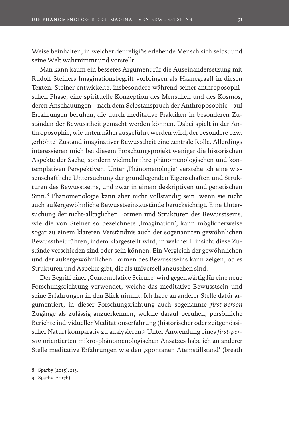Weise beinhalten, in welcher der religiös erlebende Mensch sich selbst und seine Welt wahrnimmt und vorstellt.

Man kann kaum ein besseres Argument für die Auseinandersetzung mit Rudolf Steiners Imaginationsbegriff vorbringen als Haanegraaff in diesen Texten. Steiner entwickelte, insbesondere während seiner anthroposophischen Phase, eine spirituelle Konzeption des Menschen und des Kosmos, deren Anschauungen – nach dem Selbstanspruch der Anthroposophie – auf Erfahrungen beruhen, die durch meditative Praktiken in besonderen Zuständen der Bewusstheit gemacht werden können. Dabei spielt in der Anthroposophie, wie unten näher ausgeführt werden wird, der besondere bzw. 'erhöhte' Zustand imaginativer Bewusstheit eine zentrale Rolle. Allerdings interessieren mich bei diesem Forschungsprojekt weniger die historischen Aspekte der Sache, sondern vielmehr ihre phänomenologischen und kontemplativen Perspektiven. Unter ,Phänomenologie' verstehe ich eine wissenschaftliche Untersuchung der grundlegenden Eigenschaften und Strukturen des Bewusstseins, und zwar in einem deskriptiven und genetischen Sinn.8 Phänomenologie kann aber nicht vollständig sein, wenn sie nicht auch außergewöhnliche Bewusstseinszustände berücksichtigt. Eine Untersuchung der nicht-alltäglichen Formen und Strukturen des Bewusstseins, wie die von Steiner so bezeichnete 'Imagination', kann möglicherweise sogar zu einem klareren Verständnis auch der sogenannten gewöhnlichen Bewusstheit führen, indem klargestellt wird, in welcher Hinsicht diese Zustände verschieden sind oder sein können. Ein Vergleich der gewöhnlichen und der außergewöhnlichen Formen des Bewusstseins kann zeigen, ob es Strukturen und Aspekte gibt, die als universell anzusehen sind.

Der Begriff einer, Contemplative Science' wird gegenwärtig für eine neue Forschungsrichtung verwendet, welche das meditative Bewusstsein und seine Erfahrungen in den Blick nimmt. Ich habe an anderer Stelle dafür argumentiert, in dieser Forschungsrichtung auch sogenannte *first-person* Zugänge als zulässig anzuerkennen, welche darauf beruhen, persönliche Berichte individueller Meditationserfahrung (historischer oder zeitgenössischer Natur) komparativ zu analysieren.9 Unter Anwendung eines *first-person* orientierten mikro-phänomenologischen Ansatzes habe ich an anderer Stelle meditative Erfahrungen wie den ,spontanen Atemstillstand' (breath

<sup>8</sup> Sparby (2015), 213.

<sup>9</sup> Sparby (2017b).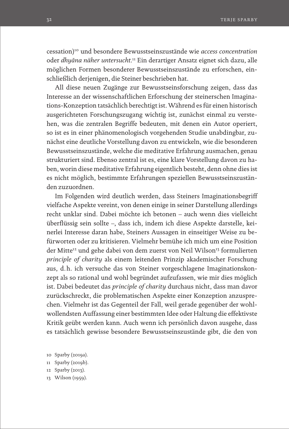cessation)10 und besondere Bewusstseinszustände wie *access concentration* oder *dhyāna näher untersucht*. 11 Ein derartiger Ansatz eignet sich dazu, alle möglichen Formen besonderer Bewusstseinszustände zu erforschen, einschließlich derjenigen, die Steiner beschrieben hat.

All diese neuen Zugänge zur Bewusstseinsforschung zeigen, dass das Interesse an der wissenschaftlichen Erforschung der steinerschen Imaginations-Konzeption tatsächlich berechtigt ist. Während es für einen historisch ausgerichteten Forschungszugang wichtig ist, zunächst einmal zu verstehen, was die zentralen Begriffe bedeuten, mit denen ein Autor operiert, so ist es in einer phänomenologisch vorgehenden Studie unabdingbar, zunächst eine deutliche Vorstellung davon zu entwickeln, wie die besonderen Bewusstseinszustände, welche die meditative Erfahrung ausmachen, genau strukturiert sind. Ebenso zentral ist es, eine klare Vorstellung davon zu haben, worin diese meditative Erfahrung eigentlich besteht, denn ohne dies ist es nicht möglich, bestimmte Erfahrungen speziellen Bewusstseinszuständen zuzuordnen.

Im Folgenden wird deutlich werden, dass Steiners Imaginationsbegriff vielfache Aspekte vereint, von denen einige in seiner Darstellung allerdings recht unklar sind. Dabei möchte ich betonen – auch wenn dies vielleicht überflüssig sein sollte –, dass ich, indem ich diese Aspekte darstelle, keinerlei Interesse daran habe, Steiners Aussagen in einseitiger Weise zu befürworten oder zu kritisieren. Vielmehr bemühe ich mich um eine Position der Mitte<sup>12</sup> und gehe dabei von dem zuerst von Neil Wilson<sup>13</sup> formulierten *principle of charity* als einem leitenden Prinzip akademischer Forschung aus, d.h. ich versuche das von Steiner vorgeschlagene Imaginationskonzept als so rational und wohl begründet aufzufassen, wie mir dies möglich ist. Dabei bedeutet das *principle of charity* durchaus nicht, dass man davor zurückschreckt, die problematischen Aspekte einer Konzeption anzusprechen. Vielmehr ist das Gegenteil der Fall, weil gerade gegenüber der wohlwollendsten Auffassung einer bestimmten Idee oder Haltung die effektivste Kritik geübt werden kann. Auch wenn ich persönlich davon ausgehe, dass es tatsächlich gewisse besondere Bewusstseinszustände gibt, die den von

13 Wilson (1959).

<sup>10</sup> Sparby (2019a).

<sup>11</sup> Sparby (2019b).

<sup>12</sup> Sparby (2013).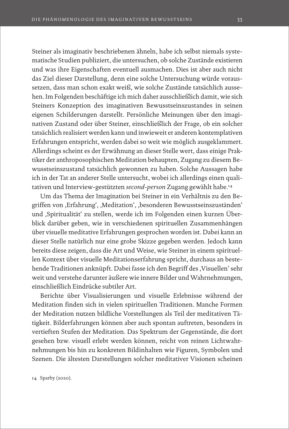Steiner als imaginativ beschriebenen ähneln, habe ich selbst niemals systematische Studien publiziert, die untersuchen, ob solche Zustände existieren und was ihre Eigenschaften eventuell ausmachen. Dies ist aber auch nicht das Ziel dieser Darstellung, denn eine solche Untersuchung würde voraussetzen, dass man schon exakt weiß, wie solche Zustände tatsächlich aussehen. Im Folgenden beschäftige ich mich daher ausschließlich damit, wie sich Steiners Konzeption des imaginativen Bewusstseinszustandes in seinen eigenen Schilderungen darstellt. Persönliche Meinungen über den imaginativen Zustand oder über Steiner, einschließlich der Frage, ob ein solcher tatsächlich realisiert werden kann und inwieweit er anderen kontemplativen Erfahrungen entspricht, werden dabei so weit wie möglich ausgeklammert. Allerdings scheint es der Erwähnung an dieser Stelle wert, dass einige Praktiker der anthroposophischen Meditation behaupten, Zugang zu diesem Bewusstseinszustand tatsächlich gewonnen zu haben. Solche Aussagen habe ich in der Tat an anderer Stelle untersucht, wobei ich allerdings einen qualitativen und Interview-gestützten *second-person* Zugang gewählt habe.<sup>14</sup>

Um das Thema der Imagination bei Steiner in ein Verhältnis zu den Begriffen von "Erfahrung', "Meditation', "besonderen Bewusstseinszuständen' und ,Spiritualität' zu stellen, werde ich im Folgenden einen kurzen Überblick darüber geben, wie in verschiedenen spirituellen Zusammenhängen über visuelle meditative Erfahrungen gesprochen worden ist. Dabei kann an dieser Stelle natürlich nur eine grobe Skizze gegeben werden. Jedoch kann bereits diese zeigen, dass die Art und Weise, wie Steiner in einem spirituellen Kontext über visuelle Meditationserfahrung spricht, durchaus an bestehende Traditionen anknüpft. Dabei fasse ich den Begriff des ,Visuellen' sehr weit und verstehe darunter äußere wie innere Bilder und Wahrnehmungen, einschließlich Eindrücke subtiler Art.

Berichte über Visualisierungen und visuelle Erlebnisse während der Meditation finden sich in vielen spirituellen Traditionen. Manche Formen der Meditation nutzen bildliche Vorstellungen als Teil der meditativen Tätigkeit. Bilderfahrungen können aber auch spontan auftreten, besonders in vertieften Stufen der Meditation. Das Spektrum der Gegenstände, die dort gesehen bzw. visuell erlebt werden können, reicht von reinen Lichtwahrnehmungen bis hin zu konkreten Bildinhalten wie Figuren, Symbolen und Szenen. Die ältesten Darstellungen solcher meditativer Visionen scheinen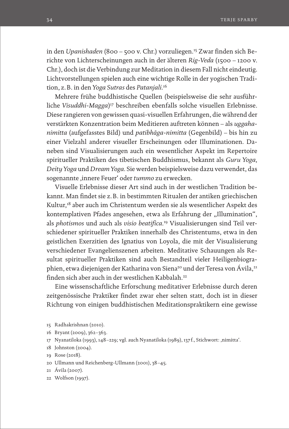in den *Upanishaden* (800 – 500 v. Chr.) vorzuliegen.15 Zwar finden sich Berichte von Lichterscheinungen auch in der älteren *Rig-Veda* (1500 – 1200 v. Chr.), doch ist die Verbindung zur Meditation in diesem Fall nicht eindeutig. Lichtvorstellungen spielen auch eine wichtige Rolle in der yogischen Tradition, z.B. in den *Yoga Sutras* des *Patanjali*. 16

Mehrere frühe buddhistische Quellen (beispielsweise die sehr ausführliche *Visuddhi-Magga*)<sup>17</sup> beschreiben ebenfalls solche visuellen Erlebnisse. Diese rangieren von gewissen quasi-visuellen Erfahrungen, die während der verstärkten Konzentration beim Meditieren auftreten können – als *uggahanimitta* (aufgefasstes Bild) und *patibhāga-nimitta* (Gegenbild) – bis hin zu einer Vielzahl anderer visueller Erscheinungen oder Illuminationen. Daneben sind Visualisierungen auch ein wesentlicher Aspekt im Repertoire spiritueller Praktiken des tibetischen Buddhismus, bekannt als *Guru Yoga*, *Deity Yoga* und *Dream Yoga*. Sie werden beispielsweise dazu verwendet, das sogenannte 'innere Feuer' oder *tummo* zu erwecken.

Visuelle Erlebnisse dieser Art sind auch in der westlichen Tradition bekannt. Man findet sie z.B. in bestimmten Ritualen der antiken griechischen Kultur,18 aber auch im Christentum werden sie als wesentlicher Aspekt des kontemplativen Pfades angesehen, etwa als Erfahrung der "Illumination", als *photismos* und auch als *visio beatifica*. 19 Visualisierungen sind Teil verschiedener spiritueller Praktiken innerhalb des Christentums, etwa in den geistlichen Exerzitien des Ignatius von Loyola, die mit der Visualisierung verschiedener Evangelienszenen arbeiten. Meditative Schauungen als Resultat spiritueller Praktiken sind auch Bestandteil vieler Heiligenbiographien, etwa diejenigen der Katharina von Siena<sup>20</sup> und der Teresa von Ávila,<sup>21</sup> finden sich aber auch in der westlichen Kabbalah.22

Eine wissenschaftliche Erforschung meditativer Erlebnisse durch deren zeitgenössische Praktiker findet zwar eher selten statt, doch ist in dieser Richtung von einigen buddhistischen Meditationspraktikern eine gewisse

- 15 Radhakrishnan (2010).
- 16 Bryant (2009), 362–363.
- 17 Nyanatiloka (1993), 148-229; vgl. auch Nyanatiloka (1989), 137f., Stichwort: ,nimitta'.
- 18 Johnston (2004).
- 19 Rose (2018).
- 20 Ullmann und Reichenberg-Ullmann (2001), 38–45.
- 21 Ávila (2007).
- 22 Wolfson (1997).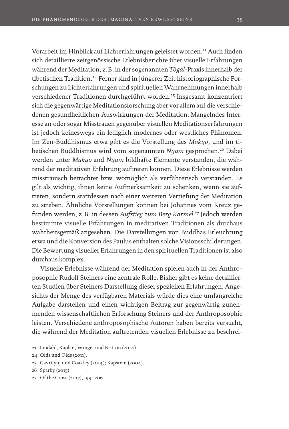Vorarbeit im Hinblick auf Lichterfahrungen geleistet worden.<sup>23</sup> Auch finden sich detaillierte zeitgenössische Erlebnisberichte über visuelle Erfahrungen während der Meditation, z.B. in der sogenannten *Tögal*-Praxis innerhalb der tibetischen Tradition.<sup>24</sup> Ferner sind in jüngerer Zeit historiographische Forschungen zu Lichterfahrungen und spirituellen Wahrnehmungen innerhalb verschiedener Traditionen durchgeführt worden.25 Insgesamt konzentriert sich die gegenwärtige Meditationsforschung aber vor allem auf die verschiedenen gesundheitlichen Auswirkungen der Meditation. Mangelndes Interesse an oder sogar Misstrauen gegenüber visuellen Meditationserfahrungen ist jedoch keineswegs ein lediglich modernes oder westliches Phänomen. Im Zen-Buddhismus etwa gibt es die Vorstellung des *Makyo*, und im tibetischen Buddhismus wird vom sogenannten *Nyam* gesprochen.26 Dabei werden unter *Makyo* and *Nyam* bildhafte Elemente verstanden, die während der meditativen Erfahrung auftreten können. Diese Erlebnisse werden misstrauisch betrachtet bzw. womöglich als verführerisch verstanden. Es gilt als wichtig, ihnen keine Aufmerksamkeit zu schenken, wenn sie auftreten, sondern stattdessen nach einer weiteren Vertiefung der Meditation zu streben. Ähnliche Vorstellungen können bei Johannes vom Kreuz gefunden werden, z.B. in dessen *Aufstieg zum Berg Karmel*. 27 Jedoch werden bestimmte visuelle Erfahrungen in meditativen Traditionen als durchaus wahrheitsgemäß angesehen. Die Darstellungen von Buddhas Erleuchtung etwa und die Konversion des Paulus enthalten solche Visionsschilderungen. Die Bewertung visueller Erfahrungen in den spirituellen Traditionen ist also durchaus komplex.

Visuelle Erlebnisse während der Meditation spielen auch in der Anthroposophie Rudolf Steiners eine zentrale Rolle. Bisher gibt es keine detaillierten Studien über Steiners Darstellung dieser speziellen Erfahrungen. Angesichts der Menge des verfügbaren Materials würde dies eine umfangreiche Aufgabe darstellen und einen wichtigen Beitrag zur gegenwärtig zunehmenden wissenschaftlichen Erforschung Steiners und der Anthroposophie leisten. Verschiedene anthroposophische Autoren haben bereits versucht, die während der Meditation auftretenden visuellen Erlebnisse zu beschrei-

- 23 Lindahl, Kaplan, Winget und Britton (2014).
- 24 Olds und Olds (2011).
- 25 Gavrilyuj und Coakley (2014); Kapstein (2004).
- 26 Sparby (2015).
- 27 Of the Cross (2017), 199–206.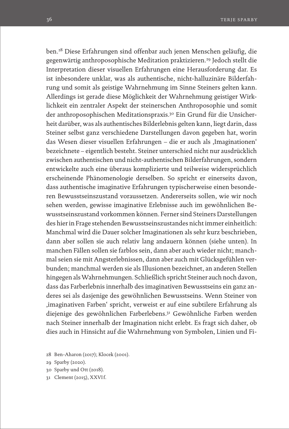ben.28 Diese Erfahrungen sind offenbar auch jenen Menschen geläufig, die gegenwärtig anthroposophische Meditation praktizieren.29 Jedoch stellt die Interpretation dieser visuellen Erfahrungen eine Herausforderung dar. Es ist inbesondere unklar, was als authentische, nicht-halluzinäre Bilderfahrung und somit als geistige Wahrnehmung im Sinne Steiners gelten kann. Allerdings ist gerade diese Möglichkeit der Wahrnehmung geistiger Wirklichkeit ein zentraler Aspekt der steinerschen Anthroposophie und somit der anthroposophischen Meditationspraxis.30 Ein Grund für die Unsicherheit darüber, was als authentisches Bilderlebnis gelten kann, liegt darin, dass Steiner selbst ganz verschiedene Darstellungen davon gegeben hat, worin das Wesen dieser visuellen Erfahrungen – die er auch als ,Imaginationen' bezeichnete – eigentlich besteht. Steiner unterschied nicht nur ausdrücklich zwischen authentischen und nicht-authentischen Bilderfahrungen, sondern entwickelte auch eine überaus komplizierte und teilweise widersprüchlich erscheinende Phänomenologie derselben. So spricht er einerseits davon, dass authentische imaginative Erfahrungen typischerweise einen besonderen Bewusstseinszustand voraussetzen. Andererseits sollen, wie wir noch sehen werden, gewisse imaginative Erlebnisse auch im gewöhnlichen Bewusstseinszustand vorkommen können. Ferner sind Steiners Darstellungen des hier in Frage stehenden Bewusstseinszustandes nicht immer einheitlich: Manchmal wird die Dauer solcher Imaginationen als sehr kurz beschrieben, dann aber sollen sie auch relativ lang andauern können (siehe unten). In manchen Fällen sollen sie farblos sein, dann aber auch wieder nicht; manchmal seien sie mit Angsterlebnissen, dann aber auch mit Glücksgefühlen verbunden; manchmal werden sie als Illusionen bezeichnet, an anderen Stellen hingegen als Wahrnehmungen. Schließlich spricht Steiner auch noch davon, dass das Farberlebnis innerhalb des imaginativen Bewusstseins ein ganz anderes sei als dasjenige des gewöhnlichen Bewusstseins. Wenn Steiner von 'imaginativen Farben' spricht, verweist er auf eine subtilere Erfahrung als diejenige des gewöhnlichen Farberlebens.31 Gewöhnliche Farben werden nach Steiner innerhalb der Imagination nicht erlebt. Es fragt sich daher, ob dies auch in Hinsicht auf die Wahrnehmung von Symbolen, Linien und Fi-

- 30 Sparby und Ott (2018).
- 31 Clement (2015), XXVIf.

<sup>28</sup> Ben-Aharon (2017); Klocek (2001).

<sup>29</sup> Sparby (2020).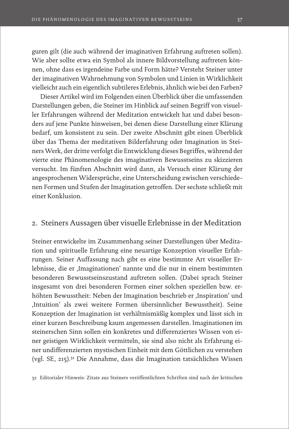guren gilt (die auch während der imaginativen Erfahrung auftreten sollen). Wie aber sollte etwa ein Symbol als innere Bildvorstellung auftreten können, ohne dass es irgendeine Farbe und Form hätte? Versteht Steiner unter der imaginativen Wahrnehmung von Symbolen und Linien in Wirklichkeit vielleicht auch ein eigentlich subtileres Erlebnis, ähnlich wie bei den Farben?

Dieser Artikel wird im Folgenden einen Überblick über die umfassenden Darstellungen geben, die Steiner im Hinblick auf seinen Begriff von visueller Erfahrungen während der Meditation entwickelt hat und dabei besonders auf jene Punkte hinweisen, bei denen diese Darstellung einer Klärung bedarf, um konsistent zu sein. Der zweite Abschnitt gibt einen Überblick über das Thema der meditativen Bilderfahrung oder Imagination in Steiners Werk, der dritte verfolgt die Entwicklung dieses Begriffes, während der vierte eine Phänomenologie des imaginativen Bewusstseins zu skizzieren versucht. Im fünften Abschnitt wird dann, als Versuch einer Klärung der angesprochenen Widersprüche, eine Unterscheidung zwischen verschiedenen Formen und Stufen der Imagination getroffen. Der sechste schließt mit einer Konklusion.

# 2. Steiners Aussagen über visuelle Erlebnisse in der Meditation

Steiner entwickelte im Zusammenhang seiner Darstellungen über Meditation und spirituelle Erfahrung eine neuartige Konzeption visueller Erfahrungen. Seiner Auffassung nach gibt es eine bestimmte Art visueller Erlebnisse, die er ,Imaginationen' nannte und die nur in einem bestimmten besonderen Bewusstseinszustand auftreten sollen. (Dabei sprach Steiner insgesamt von drei besonderen Formen einer solchen speziellen bzw. erhöhten Bewusstheit: Neben der Imagination beschrieb er ,Inspiration' und 'Intuition' als zwei weitere Formen übersinnlicher Bewusstheit). Seine Konzeption der Imagination ist verhältnismäßig komplex und lässt sich in einer kurzen Beschreibung kaum angemessen darstellen. Imaginationen im steinerschen Sinn sollen ein konkretes und differenziertes Wissen von einer geistigen Wirklichkeit vermitteln, sie sind also nicht als Erfahrung einer undifferenzierten mystischen Einheit mit dem Göttlichen zu verstehen (vgl. SE, 215).32 Die Annahme, dass die Imagination tatsächliches Wissen

32 Editorialer Hinweis: Zitate aus Steiners veröffentlichten Schriften sind nach der kritischen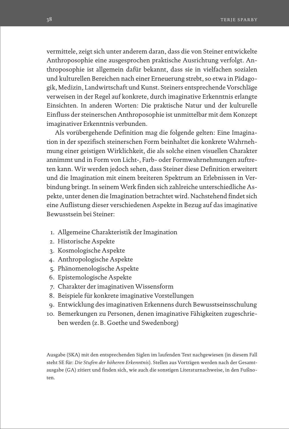vermittele, zeigt sich unter anderem daran, dass die von Steiner entwickelte Anthroposophie eine ausgesprochen praktische Ausrichtung verfolgt. Anthroposophie ist allgemein dafür bekannt, dass sie in vielfachen sozialen und kulturellen Bereichen nach einer Erneuerung strebt, so etwa in Pädagogik, Medizin, Landwirtschaft und Kunst. Steiners entsprechende Vorschläge verweisen in der Regel auf konkrete, durch imaginative Erkenntnis erlangte Einsichten. In anderen Worten: Die praktische Natur und der kulturelle Einfluss der steinerschen Anthroposophie ist unmittelbar mit dem Konzept imaginativer Erkenntnis verbunden.

Als vorübergehende Definition mag die folgende gelten: Eine Imagination in der spezifisch steinerschen Form beinhaltet die konkrete Wahrnehmung einer geistigen Wirklichkeit, die als solche einen visuellen Charakter annimmt und in Form von Licht-, Farb- oder Formwahrnehmungen auftreten kann. Wir werden jedoch sehen, dass Steiner diese Definition erweitert und die Imagination mit einem breiteren Spektrum an Erlebnissen in Verbindung bringt. In seinem Werk finden sich zahlreiche unterschiedliche Aspekte, unter denen die Imagination betrachtet wird. Nachstehend findet sich eine Auflistung dieser verschiedenen Aspekte in Bezug auf das imaginative Bewusstsein bei Steiner:

- 1. Allgemeine Charakteristik der Imagination
- 2. Historische Aspekte
- 3. Kosmologische Aspekte
- 4. Anthropologische Aspekte
- 5. Phänomenologische Aspekte
- 6. Epistemologische Aspekte
- 7. Charakter der imaginativen Wissensform
- 8. Beispiele für konkrete imaginative Vorstellungen
- 9. Entwicklung des imaginativen Erkennens durch Bewusstseinsschulung
- 10. Bemerkungen zu Personen, denen imaginative Fähigkeiten zugeschrieben werden (z.B. Goethe und Swedenborg)

Ausgabe (SKA) mit den entsprechenden Siglen im laufenden Text nachgewiesen (in diesem Fall steht SE für: *Die Stufen der höheren Erkenntnis*). Stellen aus Vorträgen werden nach der Gesamtausgabe (GA) zitiert und finden sich, wie auch die sonstigen Literaturnachweise, in den Fußnoten.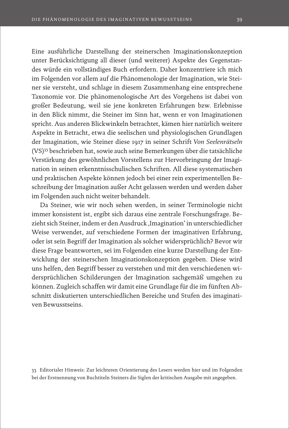Eine ausführliche Darstellung der steinerschen Imaginationskonzeption unter Berücksichtigung all dieser (und weiterer) Aspekte des Gegenstandes würde ein vollständiges Buch erfordern. Daher konzentriere ich mich im Folgenden vor allem auf die Phänomenologie der Imagination, wie Steiner sie versteht, und schlage in diesem Zusammenhang eine entsprechene Taxonomie vor. Die phänomenologische Art des Vorgehens ist dabei von großer Bedeutung, weil sie jene konkreten Erfahrungen bzw. Erlebnisse in den Blick nimmt, die Steiner im Sinn hat, wenn er von Imaginationen spricht. Aus anderen Blickwinkeln betrachtet, kämen hier natürlich weitere Aspekte in Betracht, etwa die seelischen und physiologischen Grundlagen der Imagination, wie Steiner diese 1917 in seiner Schrift *Von Seelenrätseln* (VS)33 beschrieben hat, sowie auch seine Bemerkungen über die tatsächliche Verstärkung des gewöhnlichen Vorstellens zur Hervorbringung der Imagination in seinen erkenntnisschulischen Schriften. All diese systematischen und praktischen Aspekte können jedoch bei einer rein experimentellen Beschreibung der Imagination außer Acht gelassen werden und werden daher im Folgenden auch nicht weiter behandelt.

Da Steiner, wie wir noch sehen werden, in seiner Terminologie nicht immer konsistent ist, ergibt sich daraus eine zentrale Forschungsfrage. Bezieht sich Steiner, indem er den Ausdruck , Imagination' in unterschiedlicher Weise verwendet, auf verschiedene Formen der imaginativen Erfahrung, oder ist sein Begriff der Imagination als solcher widersprüchlich? Bevor wir diese Frage beantworten, sei im Folgenden eine kurze Darstellung der Entwicklung der steinerschen Imaginationskonzeption gegeben. Diese wird uns helfen, den Begriff besser zu verstehen und mit den verschiedenen widersprüchlichen Schilderungen der Imagination sachgemäß umgehen zu können. Zugleich schaffen wir damit eine Grundlage für die im fünften Abschnitt diskutierten unterschiedlichen Bereiche und Stufen des imaginativen Bewusstseins.

<sup>33</sup> Editorialer Hinweis: Zur leichteren Orientierung des Lesers werden hier und im Folgenden bei der Erstnennung von Buchtiteln Steiners die Siglen der kritischen Ausgabe mit angegeben.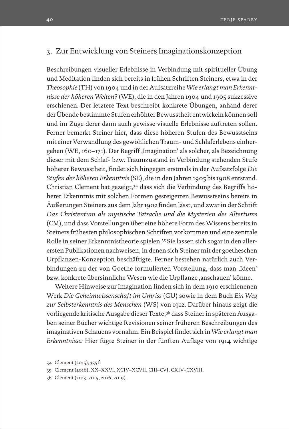# 3. Zur Entwicklung von Steiners Imaginationskonzeption

Beschreibungen visueller Erlebnisse in Verbindung mit spiritueller Übung und Meditation finden sich bereits in frühen Schriften Steiners, etwa in der *Theosophie* (TH) von 1904 und in der Aufsatzreihe *Wie erlangt man Erkenntnisse der höheren Welten?* (WE), die in den Jahren 1904 und 1905 sukzessive erschienen*.* Der letztere Text beschreibt konkrete Übungen, anhand derer der Übende bestimmte Stufen erhöhter Bewusstheit entwickeln können soll und im Zuge derer dann auch gewisse visuelle Erlebnisse auftreten sollen. Ferner bemerkt Steiner hier, dass diese höheren Stufen des Bewusstseins mit einer Verwandlung des gewöhlichen Traum- und Schlaferlebens einhergehen (WE, 160–171). Der Begriff, Imagination' als solcher, als Bezeichnung dieser mit dem Schlaf- bzw. Traumzustand in Verbindung stehenden Stufe höherer Bewusstheit, findet sich hingegen erstmals in der Aufsatzfolge *Die Stufen der höheren Erkenntnis* (SE), die in den Jahren 1905 bis 1908 entstand. Christian Clement hat gezeigt,34 dass sich die Verbindung des Begriffs höherer Erkenntnis mit solchen Formen gesteigerten Bewusstseins bereits in Äußerungen Steiners aus dem Jahr 1902 finden lässt, und zwar in der Schrift *Das Christentum als mystische Tatsache und die Mysterien des Altertums* (CM), und dass Vorstellungen über eine höhere Form des Wissens bereits in Steiners frühesten philosophischen Schriften vorkommen und eine zentrale Rolle in seiner Erkenntnistheorie spielen.35 Sie lassen sich sogar in den allerersten Publikationen nachweisen, in denen sich Steiner mit der goetheschen Urpflanzen-Konzeption beschäftigte. Ferner bestehen natürlich auch Verbindungen zu der von Goethe formulierten Vorstellung, dass man ,Ideen' bzw. konkrete übersinnliche Wesen wie die Urpflanze ,anschauen' könne.

Weitere Hinweise zur Imagination finden sich in dem 1910 erschienenen Werk *Die Geheimwissenschaft im Umriss* (GU) sowie in dem Buch *Ein Weg zur Selbsterkenntnis des Menschen* (WS) von 1912. Darüber hinaus zeigt die vorliegende kritische Ausgabe dieser Texte,<sup>36</sup> dass Steiner in späteren Ausgaben seiner Bücher wichtige Revisionen seiner früheren Beschreibungen des imaginativen Schauens vornahm. Ein Beispiel findet sich in *Wie erlangt man Erkenntnisse:* Hier fügte Steiner in der fünften Auflage von 1914 wichtige

<sup>34</sup> Clement (2015), 335 f.

<sup>35</sup> Clement (2016), XX–XXVI, XCIV–XCVII, CIII–CVI, CXIV–CXVIII.

<sup>36</sup> Clement (2013, 2015, 2016, 2019).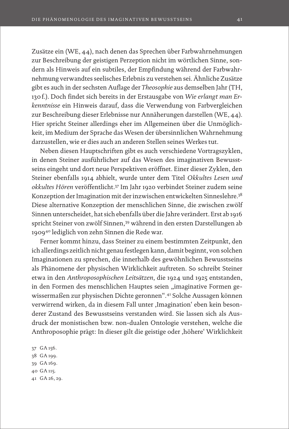Zusätze ein (WE, 44), nach denen das Sprechen über Farbwahrnehmungen zur Beschreibung der geistigen Perzeption nicht im wörtlichen Sinne, sondern als Hinweis auf ein subtiles, der Empfindung während der Farbwahrnehmung verwandtes seelisches Erlebnis zu verstehen sei. Ähnliche Zusätze gibt es auch in der sechsten Auflage der *Theosophie* aus demselben Jahr (TH, 130f.). Doch findet sich bereits in der Erstausgabe von *Wie erlangt man Erkenntnisse* ein Hinweis darauf, dass die Verwendung von Farbvergleichen zur Beschreibung dieser Erlebnisse nur Annäherungen darstellen (WE, 44). Hier spricht Steiner allerdings eher im Allgemeinen über die Unmöglichkeit, im Medium der Sprache das Wesen der übersinnlichen Wahrnehmung darzustellen, wie er dies auch an anderen Stellen seines Werkes tut.

Neben diesen Hauptschriften gibt es auch verschiedene Vortragszyklen, in denen Steiner ausführlicher auf das Wesen des imaginativen Bewusstseins eingeht und dort neue Perspektiven eröffnet. Einer dieser Zyklen, den Steiner ebenfalls 1914 abhielt, wurde unter dem Titel *Okkultes Lesen und okkultes Hören* veröffentlicht.37 Im Jahr 1920 verbindet Steiner zudem seine Konzeption der Imagination mit der inzwischen entwickelten Sinneslehre.<sup>38</sup> Diese alternative Konzeption der menschlichen Sinne, die zwischen zwölf Sinnen unterscheidet, hat sich ebenfalls über die Jahre verändert. Erst ab 1916 spricht Steiner von zwölf Sinnen,39 während in den ersten Darstellungen ab 190940 lediglich von zehn Sinnen die Rede war.

Ferner kommt hinzu, dass Steiner zu einem bestimmten Zeitpunkt, den ich allerdings zeitlich nicht genau festlegen kann, damit beginnt, von solchen Imaginationen zu sprechen, die innerhalb des gewöhnlichen Bewusstseins als Phänomene der physischen Wirklichkeit auftreten. So schreibt Steiner etwa in den *Anthroposophischen Leitsätzen*, die 1924 und 1925 entstanden, in den Formen des menschlichen Hauptes seien "imaginative Formen gewissermaßen zur physischen Dichte geronnen".41 Solche Aussagen können verwirrend wirken, da in diesem Fall unter ,Imagination' eben kein besonderer Zustand des Bewusstseins verstanden wird. Sie lassen sich als Ausdruck der monistischen bzw. non-dualen Ontologie verstehen, welche die Anthroposophie prägt: In dieser gilt die geistige oder , höhere' Wirklichkeit

37 GA 156. 38 GA 199. 39 GA 169. 40 GA 115. 41 GA 26, 29.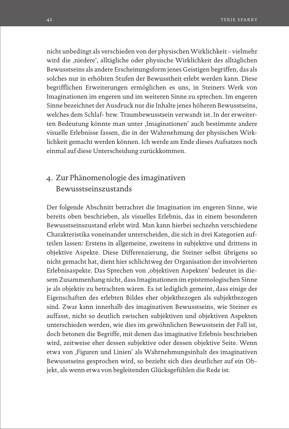nicht unbedingt als verschieden von der physischen Wirklichkeit – vielmehr wird die ,niedere', alltägliche oder physische Wirklichkeit des alltäglichen Bewusstseins als andere Erscheinungsform jenes Geistigen begriffen, das als solches nur in erhöhten Stufen der Bewusstheit erlebt werden kann. Diese begrifflichen Erweiterungen ermöglichen es uns, in Steiners Werk von Imaginationen im engeren und im weiteren Sinne zu sprechen. Im engeren Sinne bezeichnet der Ausdruck nur die Inhalte jenes höheren Bewusstseins, welches dem Schlaf- bzw. Traumbewusstsein verwandt ist. In der erweiterten Bedeutung könnte man unter Imaginationen' auch bestimmte andere visuelle Erlebnisse fassen, die in der Wahrnehmung der physischen Wirklichkeit gemacht werden können. Ich werde am Ende dieses Aufsatzes noch einmal auf diese Unterscheidung zurückkommen.

# 4. Zur Phänomenologie des imaginativen Bewusstseinszustands

Der folgende Abschnitt betrachtet die Imagination im engeren Sinne, wie bereits oben beschrieben, als visuelles Erlebnis, das in einem besonderen Bewusstseinszustand erlebt wird. Man kann hierbei sechzehn verschiedene Charakteristika voneinander unterscheiden, die sich in drei Kategorien aufteilen lassen: Erstens in allgemeine, zweitens in subjektive und drittens in objektive Aspekte. Diese Differenzierung, die Steiner selbst übrigens so nicht gemacht hat, dient hier schlichtweg der Organisation der involvierten Erlebnisaspekte. Das Sprechen von ,objektiven Aspekten' bedeutet in diesem Zusammenhang nicht, dass Imaginationen im epistemologischen Sinne je als objektiv zu betrachten wären. Es ist lediglich gemeint, dass einige der Eigenschaften des erlebten Bildes eher objektbezogen als subjektbezogen sind. Zwar kann innerhalb des imaginativen Bewusstseins, wie Steiner es auffasst, nicht so deutlich zwischen subjektiven und objektiven Aspekten unterschieden werden, wie dies im gewöhnlichen Bewusstsein der Fall ist, doch betonen die Begriffe, mit denen das imaginative Erlebnis beschrieben wird, zeitweise eher dessen subjektive oder dessen objektive Seite. Wenn etwa von ,Figuren und Linien' als Wahrnehmungsinhalt des imaginativen Bewusstseins gesprochen wird, so bezieht sich dies deutlicher auf ein Objekt, als wenn etwa von begleitenden Glücksgefühlen die Rede ist.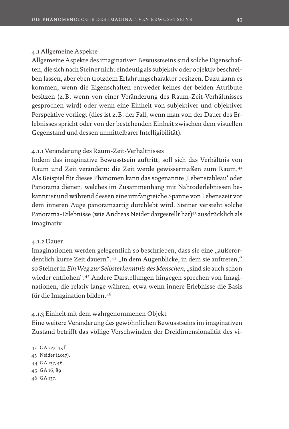### 4.1 Allgemeine Aspekte

Allgemeine Aspekte des imaginativen Bewusstseins sind solche Eigenschaften, die sich nach Steiner nicht eindeutig als subjektiv oder objektiv beschreiben lassen, aber eben trotzdem Erfahrungscharakter besitzen. Dazu kann es kommen, wenn die Eigenschaften entweder keines der beiden Attribute besitzen (z.B. wenn von einer Veränderung des Raum-Zeit-Verhältnisses gesprochen wird) oder wenn eine Einheit von subjektiver und objektiver Perspektive vorliegt (dies ist z.B. der Fall, wenn man von der Dauer des Erlebnisses spricht oder von der bestehenden Einheit zwischen dem visuellen Gegenstand und dessen unmittelbarer Intelligibilität).

# 4.1.1 Veränderung des Raum-Zeit-Verhältnisses

Indem das imaginative Bewusstsein auftritt, soll sich das Verhältnis von Raum und Zeit verändern: die Zeit werde gewissermaßen zum Raum.42 Als Beispiel für dieses Phänomen kann das sogenannte 'Lebenstableau' oder Panorama dienen, welches im Zusammenhang mit Nahtoderlebnissen bekannt ist und während dessen eine umfangreiche Spanne von Lebenszeit vor dem inneren Auge panoramaartig durchlebt wird. Steiner versteht solche Panorama-Erlebnisse (wie Andreas Neider dargestellt hat)43 ausdrücklich als imaginativ.

#### 4.1.2 Dauer

Imaginationen werden gelegentlich so beschrieben, dass sie eine "außerordentlich kurze Zeit dauern".<sup>44</sup> "In dem Augenblicke, in dem sie auftreten," so Steiner in *Ein Weg zur Selbsterkenntnis des Menschen*, "sind sie auch schon wieder entflohen".45 Andere Darstellungen hingegen sprechen von Imaginationen, die relativ lange währen, etwa wenn innere Erlebnisse die Basis für die Imagination bilden.46

#### 4.1.3 Einheit mit dem wahrgenommenen Objekt

Eine weitere Veränderung des gewöhnlichen Bewusstseins im imaginativen Zustand betrifft das völlige Verschwinden der Dreidimensionalität des vi-

 GA 227, 45 f. Neider (2017). GA 137, 46. GA 16, 89. 46 GA 137.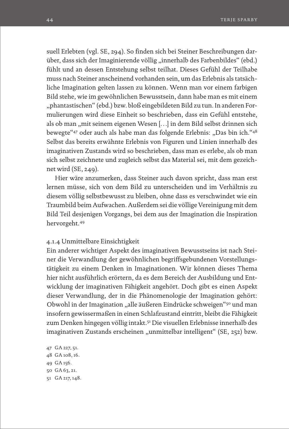suell Erlebten (vgl. SE, 294). So finden sich bei Steiner Beschreibungen darüber, dass sich der Imaginierende völlig "innerhalb des Farbenbildes" (ebd.) fühlt und an dessen Entstehung selbst teilhat. Dieses Gefühl der Teilhabe muss nach Steiner anscheinend vorhanden sein, um das Erlebnis als tatsächliche Imagination gelten lassen zu können. Wenn man vor einem farbigen Bild stehe, wie im gewöhnlichen Bewusstsein, dann habe man es mit einem "phantastischen" (ebd.) bzw. bloß eingebildeten Bild zu tun. In anderen Formulierungen wird diese Einheit so beschrieben, dass ein Gefühl entstehe, als ob man "mit seinem eigenen Wesen [...] in dem Bild selbst drinnen sich bewegte "<sup>47</sup> oder auch als habe man das folgende Erlebnis: "Das bin ich."<sup>48</sup> Selbst das bereits erwähnte Erlebnis von Figuren und Linien innerhalb des imaginativen Zustands wird so beschrieben, dass man es erlebe, als ob man sich selbst zeichnete und zugleich selbst das Material sei, mit dem gezeichnet wird (SE, 249).

Hier wäre anzumerken, dass Steiner auch davon spricht, dass man erst lernen müsse, sich von dem Bild zu unterscheiden und im Verhältnis zu diesem völlig selbstbewusst zu bleiben, ohne dass es verschwindet wie ein Traumbild beim Aufwachen. Außerdem sei die völlige Vereinigung mit dem Bild Teil desjenigen Vorgangs, bei dem aus der Imagination die Inspiration hervorgeht.49

#### 4.1.4 Unmittelbare Einsichtigkeit

Ein anderer wichtiger Aspekt des imaginativen Bewusstseins ist nach Steiner die Verwandlung der gewöhnlichen begriffsgebundenen Vorstellungstätigkeit zu einem Denken in Imaginationen. Wir können dieses Thema hier nicht ausführlich erörtern, da es dem Bereich der Ausbildung und Entwicklung der imaginativen Fähigkeit angehört. Doch gibt es einen Aspekt dieser Verwandlung, der in die Phänomenologie der Imagination gehört: Obwohl in der Imagination "alle äußeren Eindrücke schweigen"<sup>50</sup> und man insofern gewissermaßen in einen Schlafzustand eintritt, bleibt die Fähigkeit zum Denken hingegen völlig intakt.<sup>51</sup> Die visuellen Erlebnisse innerhalb des imaginativen Zustands erscheinen "unmittelbar intelligent" (SE, 252) bzw.

 GA 227, 51. GA 108, 16. 49 GA 156. GA 63, 21. GA 217, 148.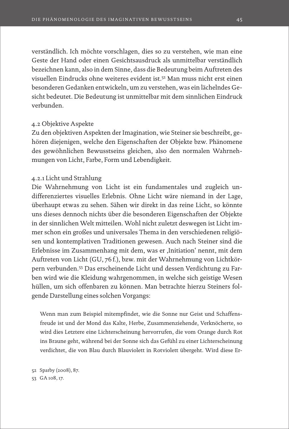verständlich. Ich möchte vorschlagen, dies so zu verstehen, wie man eine Geste der Hand oder einen Gesichtsausdruck als unmittelbar verständlich bezeichnen kann, also in dem Sinne, dass die Bedeutung beim Auftreten des visuellen Eindrucks ohne weiteres evident ist.52 Man muss nicht erst einen besonderen Gedanken entwickeln, um zu verstehen, was ein lächelndes Gesicht bedeutet. Die Bedeutung ist unmittelbar mit dem sinnlichen Eindruck verbunden.

## 4.2 Objektive Aspekte

Zu den objektiven Aspekten der Imagination, wie Steiner sie beschreibt, gehören diejenigen, welche den Eigenschaften der Objekte bzw. Phänomene des gewöhnlichen Bewusstseins gleichen, also den normalen Wahrnehmungen von Licht, Farbe, Form und Lebendigkeit.

# 4.2.1 Licht und Strahlung

Die Wahrnehmung von Licht ist ein fundamentales und zugleich undifferenziertes visuelles Erlebnis. Ohne Licht wäre niemand in der Lage, überhaupt etwas zu sehen. Sähen wir direkt in das reine Licht, so könnte uns dieses dennoch nichts über die besonderen Eigenschaften der Objekte in der sinnlichen Welt mitteilen. Wohl nicht zuletzt deswegen ist Licht immer schon ein großes und universales Thema in den verschiedenen religiösen und kontemplativen Traditionen gewesen. Auch nach Steiner sind die Erlebnisse im Zusammenhang mit dem, was er ,Initiation' nennt, mit dem Auftreten von Licht (GU, 76f.), bzw. mit der Wahrnehmung von Lichtkörpern verbunden.53 Das erscheinende Licht und dessen Verdichtung zu Farben wird wie die Kleidung wahrgenommen, in welche sich geistige Wesen hüllen, um sich offenbaren zu können. Man betrachte hierzu Steiners folgende Darstellung eines solchen Vorgangs:

Wenn man zum Beispiel mitempfindet, wie die Sonne nur Geist und Schaffensfreude ist und der Mond das Kalte, Herbe, Zusammenziehende, Verknöcherte, so wird dies Letztere eine Lichterscheinung hervorrufen, die vom Orange durch Rot ins Braune geht, während bei der Sonne sich das Gefühl zu einer Lichterscheinung verdichtet, die von Blau durch Blauviolett in Rotviolett übergeht. Wird diese Er-

52 Sparby (2008), 87.

53 GA 108, 17.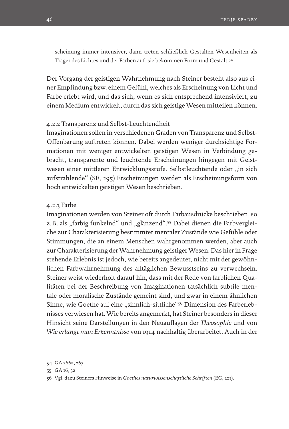scheinung immer intensiver, dann treten schließlich Gestalten-Wesenheiten als Träger des Lichtes und der Farben auf; sie bekommen Form und Gestalt.54

Der Vorgang der geistigen Wahrnehmung nach Steiner besteht also aus einer Empfindung bzw. einem Gefühl, welches als Erscheinung von Licht und Farbe erlebt wird, und das sich, wenn es sich entsprechend intensiviert, zu einem Medium entwickelt, durch das sich geistige Wesen mitteilen können.

#### 4.2.2 Transparenz und Selbst-Leuchtendheit

Imaginationen sollen in verschiedenen Graden von Transparenz und Selbst-Offenbarung auftreten können. Dabei werden weniger durchsichtige Formationen mit weniger entwickelten geistigen Wesen in Verbindung gebracht, transparente und leuchtende Erscheinungen hingegen mit Geistwesen einer mittleren Entwicklungsstufe. Selbstleuchtende oder "in sich aufstrahlende" (SE, 295) Erscheinungen werden als Erscheinungsform von hoch entwickelten geistigen Wesen beschrieben.

#### 4.2.3 Farbe

Imaginationen werden von Steiner oft durch Farbausdrücke beschrieben, so z.B. als "farbig funkelnd" und "glänzend".<sup>55</sup> Dabei dienen die Farbvergleiche zur Charakterisierung bestimmter mentaler Zustände wie Gefühle oder Stimmungen, die an einem Menschen wahrgenommen werden, aber auch zur Charakterisierung der Wahrnehmung geistiger Wesen. Das hier in Frage stehende Erlebnis ist jedoch, wie bereits angedeutet, nicht mit der gewöhnlichen Farbwahrnehmung des alltäglichen Bewusstseins zu verwechseln. Steiner weist wiederholt darauf hin, dass mit der Rede von farblichen Qualitäten bei der Beschreibung von Imaginationen tatsächlich subtile mentale oder moralische Zustände gemeint sind, und zwar in einem ähnlichen Sinne, wie Goethe auf eine "sinnlich-sittliche"<sup>56</sup> Dimension des Farberlebnisses verwiesen hat. Wie bereits angemerkt, hat Steiner besonders in dieser Hinsicht seine Darstellungen in den Neuauflagen der *Theosophie* und von *Wie erlangt man Erkenntnisse* von 1914 nachhaltig überarbeitet. Auch in der

<sup>54</sup> GA 266a, 267.

<sup>55</sup> GA 16, 32.

<sup>56</sup> Vgl. dazu Steiners Hinweise in *Goethes naturwissenschaftliche Schriften* (EG, 221).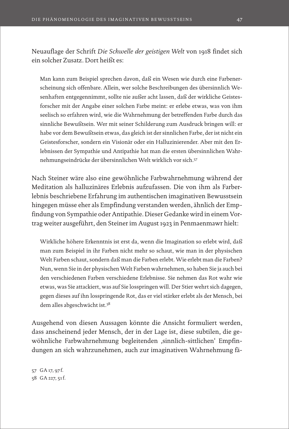Neuauflage der Schrift *Die Schwelle der geistigen Welt* von 1918 findet sich ein solcher Zusatz. Dort heißt es:

Man kann zum Beispiel sprechen davon, daß ein Wesen wie durch eine Farbenerscheinung sich offenbare. Allein, wer solche Beschreibungen des übersinnlich Wesenhaften entgegennimmt, sollte nie außer acht lassen, daß der wirkliche Geistesforscher mit der Angabe einer solchen Farbe meint: er erlebe etwas, was von ihm seelisch so erfahren wird, wie die Wahrnehmung der betreffenden Farbe durch das sinnliche Bewußtsein. Wer mit seiner Schilderung zum Ausdruck bringen will: er habe vor dem Bewußtsein etwas, das gleich ist der sinnlichen Farbe, der ist nicht ein Geistesforscher, sondern ein Visionär oder ein Halluzinierender. Aber mit den Erlebnissen der Sympathie und Antipathie hat man die ersten übersinnlichen Wahrnehmungseindrücke der übersinnlichen Welt wirklich vor sich.57

Nach Steiner wäre also eine gewöhnliche Farbwahrnehmung während der Meditation als halluzinäres Erlebnis aufzufassen. Die von ihm als Farberlebnis beschriebene Erfahrung im authentischen imaginativen Bewusstsein hingegen müsse eher als Empfindung verstanden werden, ähnlich der Empfindung von Sympathie oder Antipathie. Dieser Gedanke wird in einem Vortrag weiter ausgeführt, den Steiner im August 1923 in Penmaenmawr hielt:

Wirkliche höhere Erkenntnis ist erst da, wenn die Imagination so erlebt wird, daß man zum Beispiel in ihr Farben nicht mehr so schaut, wie man in der physischen Welt Farben schaut, sondern daß man die Farben erlebt. Wie erlebt man die Farben? Nun, wenn Sie in der physischen Welt Farben wahrnehmen, so haben Sie ja auch bei den verschiedenen Farben verschiedene Erlebnisse. Sie nehmen das Rot wahr wie etwas, was Sie attackiert, was auf Sie losspringen will. Der Stier wehrt sich dagegen, gegen dieses auf ihn losspringende Rot, das er viel stärker erlebt als der Mensch, bei dem alles abgeschwächt ist.58

Ausgehend von diesen Aussagen könnte die Ansicht formuliert werden, dass anscheinend jeder Mensch, der in der Lage ist, diese subtilen, die gewöhnliche Farbwahrnehmung begleitenden ,sinnlich-sittlichen' Empfindungen an sich wahrzunehmen, auch zur imaginativen Wahrnehmung fä-

57 GA 17, 97 f. 58 GA 227, 51f.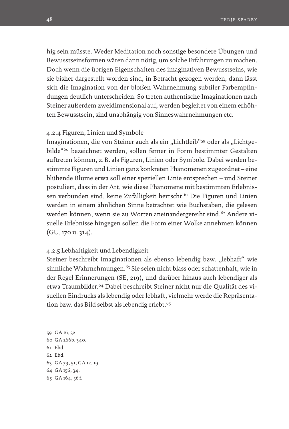hig sein müsste. Weder Meditation noch sonstige besondere Übungen und Bewusstseinsformen wären dann nötig, um solche Erfahrungen zu machen. Doch wenn die übrigen Eigenschaften des imaginativen Bewusstseins, wie sie bisher dargestellt worden sind, in Betracht gezogen werden, dann lässt sich die Imagination von der bloßen Wahrnehmung subtiler Farbempfindungen deutlich unterscheiden. So treten authentische Imaginationen nach Steiner außerdem zweidimensional auf, werden begleitet von einem erhöhten Bewusstsein, sind unabhängig von Sinneswahrnehmungen etc.

#### 4.2.4 Figuren, Linien und Symbole

Imaginationen, die von Steiner auch als ein "Lichtleib"<sup>59</sup> oder als "Lichtgebilde"60 bezeichnet werden, sollen ferner in Form bestimmter Gestalten auftreten können, z.B. als Figuren, Linien oder Symbole. Dabei werden bestimmte Figuren und Linien ganz konkreten Phänomenen zugeordnet – eine blühende Blume etwa soll einer speziellen Linie entsprechen – und Steiner postuliert, dass in der Art, wie diese Phänomene mit bestimmten Erlebnissen verbunden sind, keine Zufälligkeit herrscht.<sup>61</sup> Die Figuren und Linien werden in einem ähnlichen Sinne betrachtet wie Buchstaben, die gelesen werden können, wenn sie zu Worten aneinandergereiht sind.<sup>62</sup> Andere visuelle Erlebnisse hingegen sollen die Form einer Wolke annehmen können (GU, 170 u. 314).

#### 4.2.5 Lebhaftigkeit und Lebendigkeit

Steiner beschreibt Imaginationen als ebenso lebendig bzw. "lebhaft" wie sinnliche Wahrnehmungen.<sup>63</sup> Sie seien nicht blass oder schattenhaft, wie in der Regel Erinnerungen (SE, 219), und darüber hinaus auch lebendiger als etwa Traumbilder.64 Dabei beschreibt Steiner nicht nur die Qualität des visuellen Eindrucks als lebendig oder lebhaft, vielmehr werde die Repräsentation bzw. das Bild selbst als lebendig erlebt.<sup>65</sup>

 GA 16, 32. GA 266b, 340. 61 Ebd. 62 Ebd. GA 79, 51; GA 12, 19. GA 156, 34. GA 164, 36 f.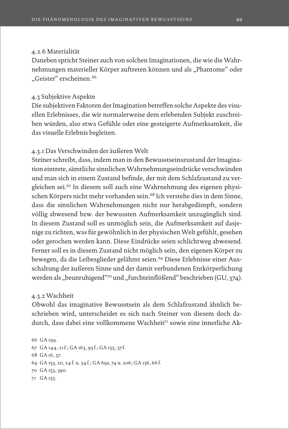#### 4.2.6 Materialität

Daneben spricht Steiner auch von solchen Imaginationen, die wie die Wahrnehmungen materieller Körper auftreten können und als "Phantome" oder "Geister" erscheinen.<sup>66</sup>

## 4.3 Subjektive Aspekte

Die subjektiven Faktoren der Imagination betreffen solche Aspekte des visuellen Erlebnisses, die wir normalerweise dem erlebenden Subjekt zuschreiben würden, also etwa Gefühle oder eine gesteigerte Aufmerksamkeit, die das visuelle Erlebnis begleiten.

## 4.3.1 Das Verschwinden der äußeren Welt

Steiner schreibt, dass, indem man in den Bewusstseinszustand der Imagination eintrete, sämtliche sinnlichen Wahrnehmungseindrücke verschwänden und man sich in einem Zustand befinde, der mit dem Schlafzustand zu vergleichen sei.67 In diesem soll auch eine Wahrnehmung des eigenen physischen Körpers nicht mehr vorhanden sein.<sup>68</sup> Ich verstehe dies in dem Sinne, dass die sinnlichen Wahrnehmungen nicht nur herabgedämpft, sondern völlig abwesend bzw. der bewussten Aufmerksamkeit unzugänglich sind. In diesem Zustand soll es unmöglich sein, die Aufmerksamkeit auf dasjenige zu richten, was für gewöhnlich in der physischen Welt gefühlt, gesehen oder gerochen werden kann. Diese Eindrücke seien schlichtweg abwesend. Ferner soll es in diesem Zustand nicht möglich sein, den eigenen Körper zu bewegen, da die Leibesglieder gelähmt seien.<sup>69</sup> Diese Erlebnisse einer Ausschaltung der äußeren Sinne und der damit verbundenen Entkörperlichung werden als "beunruhigend"<sup>70</sup> und "furchteinflößend" beschrieben (GU, 374).

#### 4.3.2 Wachheit

Obwohl das imaginative Bewusstsein als dem Schlafzustand ähnlich beschrieben wird, unterscheidet es sich nach Steiner von diesem doch dadurch, dass dabei eine vollkommene Wachheit<sup>71</sup> sowie eine innerliche Ak-

```
66 GA 199. 
67 GA 144, 21f.; GA 163, 93 f.; GA 155, 37 f.
68 GA 16, 37.
69 GA 153, 20, 24 f. u. 34 f.; GA 69a, 74 u. 206; GA 136, 66 f.
70 GA 153, 390.
71 GA 153.
```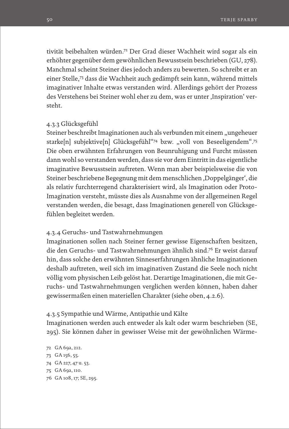tivität beibehalten würden.72 Der Grad dieser Wachheit wird sogar als ein erhöhter gegenüber dem gewöhnlichen Bewusstsein beschrieben (GU, 278). Manchmal scheint Steiner dies jedoch anders zu bewerten. So schreibt er an einer Stelle,73 dass die Wachheit auch gedämpft sein kann, während mittels imaginativer Inhalte etwas verstanden wird. Allerdings gehört der Prozess des Verstehens bei Steiner wohl eher zu dem, was er unter ,Inspiration' versteht.

## 4.3.3 Glücksgefühl

Steiner beschreibt Imaginationen auch als verbunden mit einem "ungeheuer starke[n] subjektive[n] Glücksgefühl"<sup>74</sup> bzw. "voll von Beseeligendem".<sup>75</sup> Die oben erwähnten Erfahrungen von Beunruhigung und Furcht müssten dann wohl so verstanden werden, dass sie vor dem Eintritt in das eigentliche imaginative Bewusstsein auftreten. Wenn man aber beispielsweise die von Steiner beschriebene Begegnung mit dem menschlichen 'Doppelgänger', die als relativ furchterregend charakterisiert wird, als Imagination oder Proto-Imagination versteht, müsste dies als Ausnahme von der allgemeinen Regel verstanden werden, die besagt, dass Imaginationen generell von Glücksgefühlen begleitet werden.

#### 4.3.4 Geruchs- und Tastwahrnehmungen

Imaginationen sollen nach Steiner ferner gewisse Eigenschaften besitzen, die den Geruchs- und Tastwahrnehmungen ähnlich sind.76 Er weist darauf hin, dass solche den erwähnten Sinneserfahrungen ähnliche Imaginationen deshalb auftreten, weil sich im imaginativen Zustand die Seele noch nicht völlig vom physischen Leib gelöst hat. Derartige Imaginationen, die mit Geruchs- und Tastwahrnehmungen verglichen werden können, haben daher gewissermaßen einen materiellen Charakter (siehe oben, 4.2.6).

#### 4.3.5 Sympathie und Wärme, Antipathie und Kälte

Imaginationen werden auch entweder als kalt oder warm beschrieben (SE, 295). Sie können daher in gewisser Weise mit der gewöhnlichen Wärme-

 GA 69a, 212. GA 156, 55. GA 227, 47 u. 53. GA 69a, 110. GA 108, 17; SE, 295.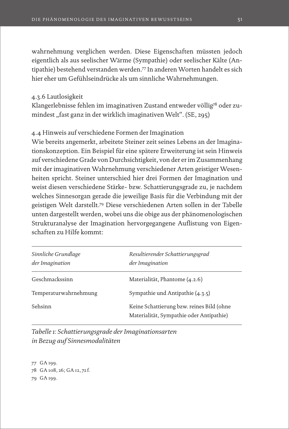wahrnehmung verglichen werden. Diese Eigenschaften müssten jedoch eigentlich als aus seelischer Wärme (Sympathie) oder seelischer Kälte (Antipathie) bestehend verstanden werden.77 In anderen Worten handelt es sich hier eher um Gefühlseindrücke als um sinnliche Wahrnehmungen.

4.3.6 Lautlosigkeit

Klangerlebnisse fehlen im imaginativen Zustand entweder völlig<sup>78</sup> oder zumindest "fast ganz in der wirklich imaginativen Welt". (SE, 295)

# 4.4 Hinweis auf verschiedene Formen der Imagination

Wie bereits angemerkt, arbeitete Steiner zeit seines Lebens an der Imaginationskonzeption. Ein Beispiel für eine spätere Erweiterung ist sein Hinweis auf verschiedene Grade von Durchsichtigkeit, von der er im Zusammenhang mit der imaginativen Wahrnehmung verschiedener Arten geistiger Wesenheiten spricht. Steiner unterschied hier drei Formen der Imagination und weist diesen verschiedene Stärke- bzw. Schattierungsgrade zu, je nachdem welches Sinnesorgan gerade die jeweilige Basis für die Verbindung mit der geistigen Welt darstellt.79 Diese verschiedenen Arten sollen in der Tabelle unten dargestellt werden, wobei uns die obige aus der phänomenologischen Strukturanalyse der Imagination hervorgegangene Auflistung von Eigenschaften zu Hilfe kommt:

| Sinnliche Grundlage<br>der Imagination | Resultierender Schattierungsgrad<br>der Imagination                                   |
|----------------------------------------|---------------------------------------------------------------------------------------|
| Geschmackssinn                         | Materialität, Phantome (4.2.6)                                                        |
| Temperaturwahrnehmung                  | Sympathie und Antipathie $(4.3.5)$                                                    |
| Sehsinn                                | Keine Schattierung bzw. reines Bild (ohne<br>Materialität, Sympathie oder Antipathie) |

*Tabelle 1: Schattierungsgrade der Imaginationsarten in Bezug auf Sinnesmodalitäten*

77 GA 199. 78 GA 108, 26; GA 12, 72 f. 79 GA 199.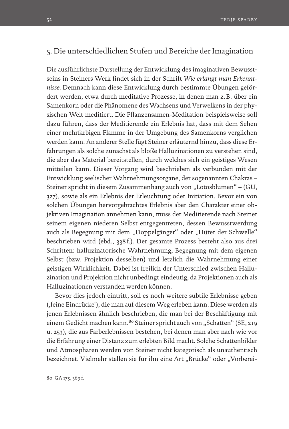# 5. Die unterschiedlichen Stufen und Bereiche der Imagination

Die ausführlichste Darstellung der Entwicklung des imaginativen Bewusstseins in Steiners Werk findet sich in der Schrift *Wie erlangt man Erkenntnisse.* Demnach kann diese Entwicklung durch bestimmte Übungen gefördert werden, etwa durch meditative Prozesse, in denen man z.B. über ein Samenkorn oder die Phänomene des Wachsens und Verwelkens in der physischen Welt meditiert. Die Pflanzensamen-Meditation beispielsweise soll dazu führen, dass der Meditierende ein Erlebnis hat, dass mit dem Sehen einer mehrfarbigen Flamme in der Umgebung des Samenkorns verglichen werden kann. An anderer Stelle fügt Steiner erläuternd hinzu, dass diese Erfahrungen als solche zunächst als bloße Halluzinationen zu verstehen sind, die aber das Material bereitstellen, durch welches sich ein geistiges Wesen mitteilen kann. Dieser Vorgang wird beschrieben als verbunden mit der Entwicklung seelischer Wahrnehmungsorgane, der sogenannten Chakras – Steiner spricht in diesem Zusammenhang auch von "Lotosblumen" – (GU, 327), sowie als ein Erlebnis der Erleuchtung oder Initiation. Bevor ein von solchen Übungen hervorgebrachtes Erlebnis aber den Charakter einer objektiven Imagination annehmen kann, muss der Meditierende nach Steiner seinem eigenen niederen Selbst entgegentreten, dessen Bewusstwerdung auch als Begegnung mit dem "Doppelgänger" oder "Hüter der Schwelle" beschrieben wird (ebd., 338f.). Der gesamte Prozess besteht also aus drei Schritten: halluzinatorische Wahrnehmung, Begegnung mit dem eigenen Selbst (bzw. Projektion desselben) und letzlich die Wahrnehmung einer geistigen Wirklichkeit. Dabei ist freilich der Unterschied zwischen Halluzination und Projektion nicht unbedingt eindeutig, da Projektionen auch als Halluzinationen verstanden werden können.

Bevor dies jedoch eintritt, soll es noch weitere subtile Erlebnisse geben ('feine Eindrücke'), die man auf diesem Weg erleben kann. Diese werden als jenen Erlebnissen ähnlich beschrieben, die man bei der Beschäftigung mit einem Gedicht machen kann.<sup>80</sup> Steiner spricht auch von "Schatten" (SE, 219 u. 253), die aus Farberlebnissen bestehen, bei denen man aber nach wie vor die Erfahrung einer Distanz zum erlebten Bild macht. Solche Schattenbilder und Atmosphären werden von Steiner nicht kategorisch als unauthentisch bezeichnet. Vielmehr stellen sie für ihn eine Art "Brücke" oder "Vorberei-

80 GA 175, 369 f.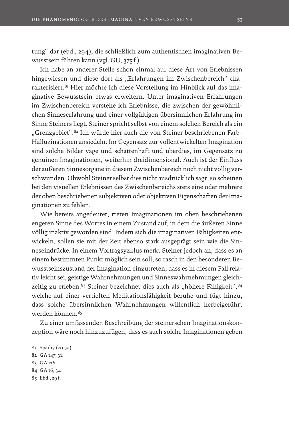tung" dar (ebd., 294), die schließlich zum authentischen imaginativen Bewusstsein führen kann (vgl. GU, 375 f.).

Ich habe an anderer Stelle schon einmal auf diese Art von Erlebnissen hingewiesen und diese dort als "Erfahrungen im Zwischenbereich" charakterisiert.81 Hier möchte ich diese Vorstellung im Hinblick auf das imaginative Bewusstsein etwas erweitern. Unter imaginativen Erfahrungen im Zwischenbereich verstehe ich Erlebnisse, die zwischen der gewöhnlichen Sinneserfahrung und einer vollgültigen übersinnlichen Erfahrung im Sinne Steiners liegt. Steiner spricht selbst von einem solchen Bereich als ein "Grenzgebiet".<sup>82</sup> Ich würde hier auch die von Steiner beschriebenen Farb-Halluzinationen ansiedeln. Im Gegensatz zur vollentwickelten Imagination sind solche Bilder vage und schattenhaft und überdies, im Gegensatz zu genuinen Imaginationen, weiterhin dreidimensional. Auch ist der Einfluss der äußeren Sinnesorgane in diesem Zwischenbereich noch nicht völlig verschwunden. Obwohl Steiner selbst dies nicht ausdrücklich sagt, so scheinen bei den visuellen Erlebnissen des Zwischenbereichs stets eine oder mehrere der oben beschriebenen subjektiven oder objektiven Eigenschaften der Imaginationen zu fehlen.

Wie bereits angedeutet, treten Imaginationen im oben beschriebenen engeren Sinne des Wortes in einem Zustand auf, in dem die äußeren Sinne völlig inaktiv geworden sind. Indem sich die imaginativen Fähigkeiten entwickeln, sollen sie mit der Zeit ebenso stark ausgeprägt sein wie die Sinneseindrücke. In einem Vortragsyzklus merkt Steiner jedoch an, dass es an einem bestimmten Punkt möglich sein soll, so rasch in den besonderen Bewusstseinszustand der Imagination einzutreten, dass es in diesem Fall relativ leicht sei, geistige Wahrnehmungen und Sinneswahrnehmungen gleichzeitig zu erleben.<sup>83</sup> Steiner bezeichnet dies auch als "höhere Fähigkeit", <sup>84</sup> welche auf einer vertieften Meditationsfähigkeit beruhe und fügt hinzu, dass solche übersinnlichen Wahrnehmungen willentlich herbeigeführt werden können.85

Zu einer umfassenden Beschreibung der steinerschen Imaginationskonzeption wäre noch hinzuzufügen, dass es auch solche Imaginationen geben

<sup>81</sup> Sparby (2017a). 82 GA 147, 31. 83 GA 136. 84 GA 16, 34. 85 Ebd., 29 f.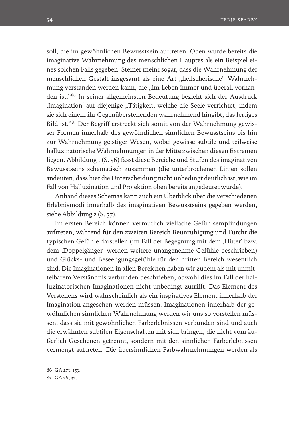soll, die im gewöhnlichen Bewusstsein auftreten. Oben wurde bereits die imaginative Wahrnehmung des menschlichen Hauptes als ein Beispiel eines solchen Falls gegeben. Steiner meint sogar, dass die Wahrnehmung der menschlichen Gestalt insgesamt als eine Art "hellseherische" Wahrnehmung verstanden werden kann, die "im Leben immer und überall vorhanden ist."86 In seiner allgemeinsten Bedeutung bezieht sich der Ausdruck ,Imagination' auf diejenige "Tätigkeit, welche die Seele verrichtet, indem sie sich einem ihr Gegenüberstehenden wahrnehmend hingibt, das fertiges Bild ist."87 Der Begriff erstreckt sich somit von der Wahrnehmung gewisser Formen innerhalb des gewöhnlichen sinnlichen Bewusstseins bis hin zur Wahrnehmung geistiger Wesen, wobei gewisse subtile und teilweise halluzinatorische Wahrnehmungen in der Mitte zwischen diesen Extremen liegen. Abbildung 1 (S. 56) fasst diese Bereiche und Stufen des imaginativen Bewusstseins schematisch zusammen (die unterbrochenen Linien sollen andeuten, dass hier die Unterscheidung nicht unbedingt deutlich ist, wie im Fall von Halluzination und Projektion oben bereits angedeutet wurde).

Anhand dieses Schemas kann auch ein Überblick über die verschiedenen Erlebnismodi innerhalb des imaginativen Bewusstseins gegeben werden, siehe Abbildung 2 (S. 57).

Im ersten Bereich können vermutlich vielfache Gefühlsempfindungen auftreten, während für den zweiten Bereich Beunruhigung und Furcht die typischen Gefühle darstellen (im Fall der Begegnung mit dem "Hüter' bzw. dem 'Doppelgänger' werden weitere unangenehme Gefühle beschrieben) und Glücks- und Beseeligungsgefühle für den dritten Bereich wesentlich sind. Die Imaginationen in allen Bereichen haben wir zudem als mit unmittelbarem Verständnis verbunden beschrieben, obwohl dies im Fall der halluzinatorischen Imaginationen nicht unbedingt zutrifft. Das Element des Verstehens wird wahrscheinlich als ein inspiratives Element innerhalb der Imagination angesehen werden müssen. Imaginationen innerhalb der gewöhnlichen sinnlichen Wahrnehmung werden wir uns so vorstellen müssen, dass sie mit gewöhnlichen Farberlebnissen verbunden sind und auch die erwähnten subtilen Eigenschaften mit sich bringen, die nicht vom äußerlich Gesehenen getrennt, sondern mit den sinnlichen Farberlebnissen vermengt auftreten. Die übersinnlichen Farbwahrnehmungen werden als

86 GA 271, 153. 87 GA 26, 32.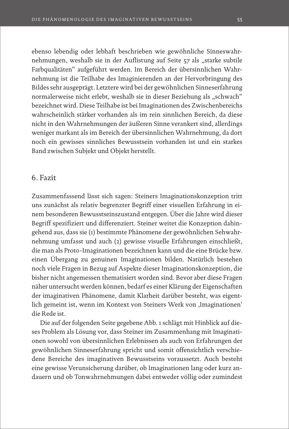ebenso lebendig oder lebhaft beschrieben wie gewöhnliche Sinneswahrnehmungen, weshalb sie in der Auflistung auf Seite 57 als "starke subtile Farbqualitäten" aufgeführt werden. Im Bereich der übersinnlichen Wahrnehmung ist die Teilhabe des Imaginierenden an der Hervorbringung des Bildes sehr ausgeprägt. Letztere wird bei der gewöhnlichen Sinneserfahrung normalerweise nicht erlebt, weshalb sie in dieser Beziehung als "schwach" bezeichnet wird. Diese Teilhabe ist bei Imaginationen des Zwischenbereichs wahrscheinlich stärker vorhanden als im rein sinnlichen Bereich, da diese nicht in den Wahrnehmungen der äußeren Sinne verankert sind, allerdings weniger markant als im Bereich der übersinnlichen Wahrnehmung, da dort noch ein gewisses sinnliches Bewusstsein vorhanden ist und ein starkes Band zwischen Subjekt und Objekt herstellt.

# 6. Fazit

Zusammenfassend lässt sich sagen: Steiners Imaginationskonzeption tritt uns zunächst als relativ begrenzter Begriff einer visuellen Erfahrung in einem besonderen Bewusstseinszustand entgegen. Über die Jahre wird dieser Begriff spezifiziert und differenziert. Steiner weitet die Konzeption dahingehend aus, dass sie (1) bestimmte Phänomene der gewöhnlichen Sehwahrnehmung umfasst und auch (2) gewisse visuelle Erfahrungen einschließt, die man als Proto-Imaginationen bezeichnen kann und die eine Brücke bzw. einen Übergang zu genuinen Imaginationen bilden. Natürlich bestehen noch viele Fragen in Bezug auf Aspekte dieser Imaginationskonzeption, die bisher nicht angemessen thematisiert worden sind. Bevor aber diese Fragen näher untersucht werden können, bedarf es einer Klärung der Eigenschaften der imaginativen Phänomene, damit Klarheit darüber besteht, was eigentlich gemeint ist, wenn im Kontext von Steiners Werk von ,Imaginationen' die Rede ist.

Die auf der folgenden Seite gegebene Abb. 1 schlägt mit Hinblick auf dieses Problem als Lösung vor, dass Steiner im Zusammenhang mit Imaginationen sowohl von übersinnlichen Erlebnissen als auch von Erfahrungen der gewöhnlichen Sinneserfahrung spricht und somit offensichtlich verschiedene Bereiche des imaginativen Bewusstseins voraussetzt. Auch besteht eine gewisse Verunsicherung darüber, ob Imaginationen lang oder kurz andauern und ob Tonwahrnehmungen dabei entweder völlig oder zumindest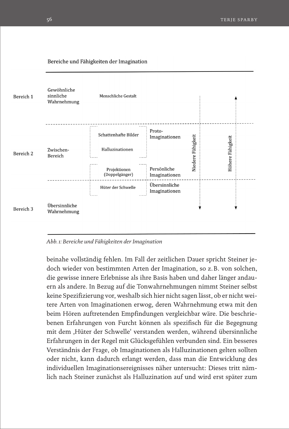



*Abb. 1: Bereiche und Fähigkeiten der Imagination*

beinahe vollständig fehlen. Im Fall der zeitlichen Dauer spricht Steiner jedoch wieder von bestimmten Arten der Imagination, so z.B. von solchen, die gewisse innere Erlebnisse als ihre Basis haben und daher länger andauern als andere. In Bezug auf die Tonwahrnehmungen nimmt Steiner selbst keine Spezifizierung vor, weshalb sich hier nicht sagen lässt, ob er nicht weitere Arten von Imaginationen erwog, deren Wahrnehmung etwa mit den beim Hören auftretenden Empfindungen vergleichbar wäre. Die beschriebenen Erfahrungen von Furcht können als spezifisch für die Begegnung mit dem ,Hüter der Schwelle' verstanden werden, während übersinnliche Erfahrungen in der Regel mit Glücksgefühlen verbunden sind. Ein besseres Verständnis der Frage, ob Imaginationen als Halluzinationen gelten sollten oder nicht, kann dadurch erlangt werden, dass man die Entwicklung des individuellen Imaginationsereignisses näher untersucht: Dieses tritt nämlich nach Steiner zunächst als Halluzination auf und wird erst später zum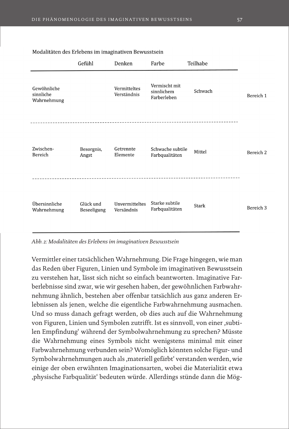|                                         | Gefühl                   | Denken                       | Farbe                                      | Teilhabe     |                      |
|-----------------------------------------|--------------------------|------------------------------|--------------------------------------------|--------------|----------------------|
| Gewöhnliche<br>sinnliche<br>Wahrnehmung |                          | Vermitteltes<br>Verständnis  | Vermischt mit<br>sinnlichem<br>Farberleben | Schwach      | Bereich 1            |
| Zwischen-<br>Bereich                    | Besorgnis,<br>Angst      | Getrennte<br>Elemente        | Schwache subtile<br>Farbqualitäten         | Mittel       | Bereich <sub>2</sub> |
| Übersinnliche<br>Wahrnehmung            | Glück und<br>Beseeligung | Unvermitteltes<br>Versändnis | Starke subtile<br>Farbqualitäten           | <b>Stark</b> | Bereich <sub>3</sub> |

#### Modalitäten des Erlebens im imaginativen Bewusstsein

*Abb. 2: Modalitäten des Erlebens im imaginativen Bewusstsein* 

Vermittler einer tatsächlichen Wahrnehmung. Die Frage hingegen, wie man das Reden über Figuren, Linien und Symbole im imaginativen Bewusstsein zu verstehen hat, lässt sich nicht so einfach beantworten. Imaginative Farberlebnisse sind zwar, wie wir gesehen haben, der gewöhnlichen Farbwahrnehmung ähnlich, bestehen aber offenbar tatsächlich aus ganz anderen Erlebnissen als jenen, welche die eigentliche Farbwahrnehmung ausmachen. Und so muss danach gefragt werden, ob dies auch auf die Wahrnehmung von Figuren, Linien und Symbolen zutrifft. Ist es sinnvoll, von einer ,subtilen Empfindung' während der Symbolwahrnehmung zu sprechen? Müsste die Wahrnehmung eines Symbols nicht wenigstens minimal mit einer Farbwahrnehmung verbunden sein? Womöglich könnten solche Figur- und Symbolwahrnehmungen auch als ,materiell gefärbt' verstanden werden, wie einige der oben erwähnten Imaginationsarten, wobei die Materialität etwa 'physische Farbqualität' bedeuten würde. Allerdings stünde dann die Mög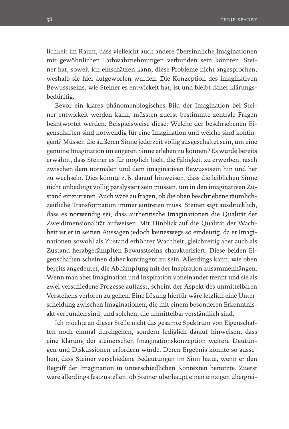lichkeit im Raum, dass vielleicht auch andere übersinnliche Imaginationen mit gewöhnlichen Farbwahrnehmungen verbunden sein könnten. Steiner hat, soweit ich einschätzen kann, diese Probleme nicht angesprochen, weshalb sie hier aufgeworfen wurden. Die Konzeption des imaginativen Bewusstseins, wie Steiner es entwickelt hat, ist und bleibt daher klärungsbedürftig.

Bevor ein klares phänomenologisches Bild der Imagination bei Steiner entwickelt werden kann, müssten zuerst bestimmte zentrale Fragen beantwortet werden. Beispielsweise diese: Welche der beschriebenen Eigenschaften sind notwendig für eine Imagination und welche sind kontingent? Müssen die äußeren Sinne jederzeit völlig ausgeschaltet sein, um eine genuine Imagination im engeren Sinne erleben zu können? Es wurde bereits erwähnt, dass Steiner es für möglich hielt, die Fähigkeit zu erwerben, rasch zwischen dem normalen und dem imaginativen Bewusstsein hin und her zu wechseln. Dies könnte z.B. darauf hinweisen, dass die leiblichen Sinne nicht unbedingt völlig paralysiert sein müssen, um in den imaginativen Zustand einzutreten. Auch wäre zu fragen, ob die oben beschriebene räumlichzeitliche Transformation immer eintreten muss. Steiner sagt ausdrücklich, dass es notwendig sei, dass authentische Imaginationen die Qualität der Zweidimensionalität aufweisen. Mit Hinblick auf die Qualität der Wachheit ist er in seinen Aussagen jedoch keineswegs so eindeutig, da er Imaginationen sowohl als Zustand erhöhter Wachheit, gleichzeitig aber auch als Zustand herabgedämpften Bewusstseins charakterisiert. Diese beiden Eigenschaften scheinen daher kontingent zu sein. Allerdings kann, wie oben bereits angedeutet, die Abdämpfung mit der Inspiration zusammenhängen. Wenn man aber Imagination und Inspiration voneinander trennt und sie als zwei verschiedene Prozesse auffasst, scheint der Aspekt des unmittelbaren Verstehens verloren zu gehen. Eine Lösung hierfür wäre letzlich eine Unterscheidung zwischen Imaginationen, die mit einem besonderen Erkenntnisakt verbunden sind, und solchen, die unmittelbar verständlich sind.

Ich möchte an dieser Stelle nicht das gesamte Spektrum von Eigenschaften noch einmal durchgehen, sondern lediglich darauf hinweisen, dass eine Klärung der steinerschen Imaginationskonzeption weitere Deutungen und Diskussionen erfordern würde. Deren Ergebnis könnte so aussehen, dass Steiner verschiedene Bedeutungen im Sinn hatte, wenn er den Begriff der Imagination in unterschiedlichen Kontexten benutzte. Zuerst wäre allerdings festzustellen, ob Steiner überhaupt einen einzigen übergrei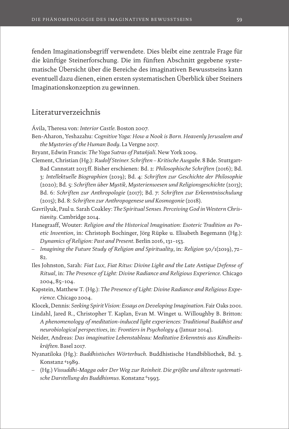fenden Imaginationsbegriff verwendete. Dies bleibt eine zentrale Frage für die künftige Steinerforschung. Die im fünften Abschnitt gegebene systematische Übersicht über die Bereiche des imaginativen Bewusstseins kann eventuell dazu dienen, einen ersten systematischen Überblick über Steiners Imaginationskonzeption zu gewinnen.

# Literaturverzeichnis

Ávila, Theresa von: *Interior Castle*. Boston 2007.

Ben-Aharon, Yeshazahu: *Cognitive Yoga: How a Nook is Born. Heavenly Jerusalem and the Mysteries of the Human Body*. La Vergne 2017.

Bryant, Edwin Francis: *The Yoga Sutras of Patañjali*. New York 2009.

Clement, Christian (Hg.): *Rudolf Steiner. Schriften – Kritische Ausgabe*. 8 Bde. Stuttgart-Bad Cannstatt 2013 ff. Bisher erschienen: Bd. 2: *Philosophische Schriften* (2016); Bd. 3: *Intellektuelle Biographien* (2019); Bd. 4: *Schriften zur Geschichte der Philosophie* (2020); Bd. 5: *Schriften über Mystik, Mysterienwesen und Religionsgeschichte* (2013); Bd. 6: *Schriften zur Anthropologie* (2017); Bd. 7: *Schriften zur Erkenntnisschulung* (2015); Bd. 8: *Schriften zur Anthropogenese und Kosmogonie* (2018).

- Gavrilyuk, Paul u. Sarah Coakley: *The Spiritual Senses. Perceiving God in Western Christianity*. Cambridge 2014.
- Hanegraaff, Wouter: *Religion and the Historical Imagination: Esoteric Tradition as Poetic Invention*, in: Christoph Bochinger, Jörg Rüpke u. Elisabeth Begemann (Hg.): *Dynamics of Religion: Past and Present*. Berlin 2016, 131–153.
- *Imagining the Future Study of Religion and Spirituality*, in: *Religion* 50/1(2019), 72– 82.
- Iles Johnston, Sarah: *Fiat Lux, Fiat Ritus: Divine Light and the Late Antique Defense of Ritual*, in: *The Presence of Light: Divine Radiance and Religious Experience*. Chicago 2004, 85–104.
- Kapstein, Matthew T. (Hg.): *The Presence of Light: Divine Radiance and Religious Experience*. Chicago 2004.
- Klocek, Dennis: *Seeking Spirit Vision: Essays on Developing Imagination*. Fair Oaks 2001.
- Lindahl, Jared R., Christopher T. Kaplan, Evan M. Winget u. Willoughby B. Britton: *A phenomenology of meditation-induced light experiences: Traditional Buddhist and neurobiological perspectives*, in: *Frontiers in Psychology* 4 (Januar 2014).
- Neider, Andreas: *Das imaginative Lebenstableau: Meditative Erkenntnis aus Kindheitskräften*. Basel 2017.
- Nyanatiloka (Hg.): *Buddhistisches Wörterbuch*. Buddhistische Handbibliothek, Bd. 3. Konstanz 41989.
- (Hg.) *Vissuddhi-Magga oder Der Weg zur Reinheit. Die größte und älteste systematische Darstellung des Buddhismus*. Konstanz 61993.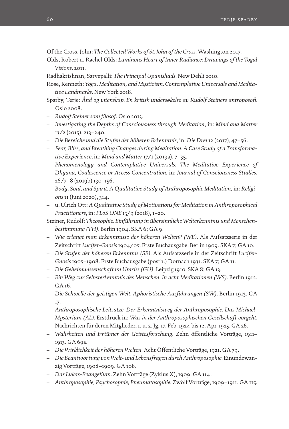Of the Cross, John: *The Collected Works of St. John of the Cross*. Washington 2017.

- Olds, Robert u. Rachel Olds: *Luminous Heart of Inner Radiance: Drawings of the Togal Visions*. 2011.
- Radhakrishnan, Sarvepalli: *The Principal Upanishads*. New Dehli 2010.
- Rose, Kenneth: *Yoga, Meditation, and Mysticism. Contemplative Universals and Meditative Landmarks*. New York 2018.
- Sparby, Terje: *Ånd og vitenskap. En kritisk undersøkelse av Rudolf Steiners antroposofi.* Oslo 2008.
- *Rudolf Steiner som filosof*. Oslo 2013.
- *Investigating the Depths of Consciousness through Meditation*, in: *Mind and Matter* 13/2 (2015), 213–240.
- *Die Bereiche und die Stufen der höheren Erkenntnis*, in: *Die Drei* 12 (2017), 47–56.
- *Fear, Bliss, and Breathing Changes during Meditation. A Case Study of a Transformative Experience*, in: *Mind and Matter* 17/1 (2019a), 7–35.
- *Phenomenology and Contemplative Universals: The Meditative Experience of Dhyāna, Coalescence or Access Concentration*, in: *Journal of Consciousness Studies*. 26/7–8 (2019b) 130–156.
- *Body, Soul, and Spirit. A Qualitative Study of Anthroposophic Meditation*, in: *Religions* 11 (Juni 2020), 314.
- u. Ulrich Ott: *A Qualitative Study of Motivations for Meditation in Anthroposophical Practitioners*, in: *PLoS ONE* 13/9 (2018), 1–20.
- Steiner, Rudolf: *Theosophie. Einführung in übersinnliche Welterkenntnis und Menschenbestimmung (TH).* Berlin 1904. SKA 6; GA 9.
- *Wie erlangt man Erkenntnisse der höheren Welten? (WE).* Als Aufsatzserie in der Zeitschrift *Lucifer-Gnosis* 1904/05. Erste Buchausgabe. Berlin 1909. SKA 7; GA 10.
- *Die Stufen der höheren Erkenntnis (SE).* Als Aufsatzserie in der Zeitschrift *Lucifer-Gnosis* 1905–1908. Erste Buchausgabe (posth.) Dornach 1931. SKA 7; GA 11.
- *Die Geheimwissenschaft im Umriss (GU)*. Leipzig 1910. SKA 8; GA 13.
- *Ein Weg zur Selbsterkenntnis des Menschen. In acht Meditationen (WS).* Berlin 1912. GA 16.
- *Die Schwelle der geistigen Welt. Aphoristische Ausführungen (SW).* Berlin 1913. GA 17.
- *Anthroposophische Leitsätze. Der Erkenntnisweg der Anthroposophie. Das Michael-Mysterium (AL).* Erstdruck in: *Was in der Anthroposophischen Gesellschaft vorgeht.*  Nachrichten für deren Mitglieder, 1. u. 2. Jg, 17. Feb. 1924 bis 12. Apr. 1925*.* GA 26.
- *Wahrheiten und Irrtümer der Geistesforschung*. Zehn öffentliche Vorträge, 1911– 1913. GA 69a.
- *Die Wirklichkeit der höheren Welten*. Acht Öffentliche Vorträge, 1921. GA 79.
- *Die Beantwortung von Welt- und Lebensfragen durch Anthroposophie.* Einundzwanzig Vorträge, 1908–1909. GA 108.
- *Das Lukas-Evangelium*. Zehn Vorträge (Zyklus X), 1909. GA 114.
- *Anthroposophie, Psychosophie, Pneumatosophie*. Zwölf Vorträge, 1909–1911. GA 115.